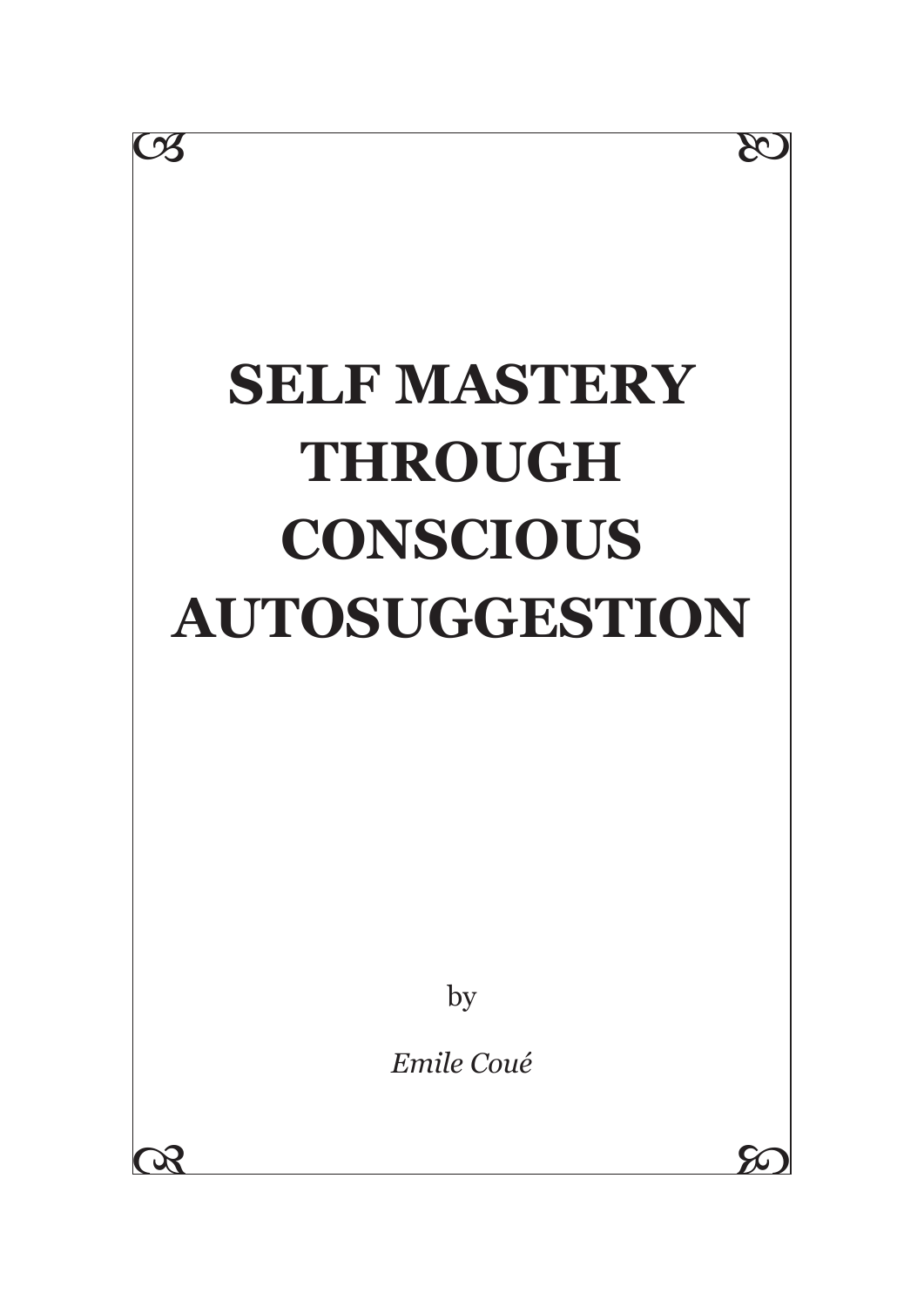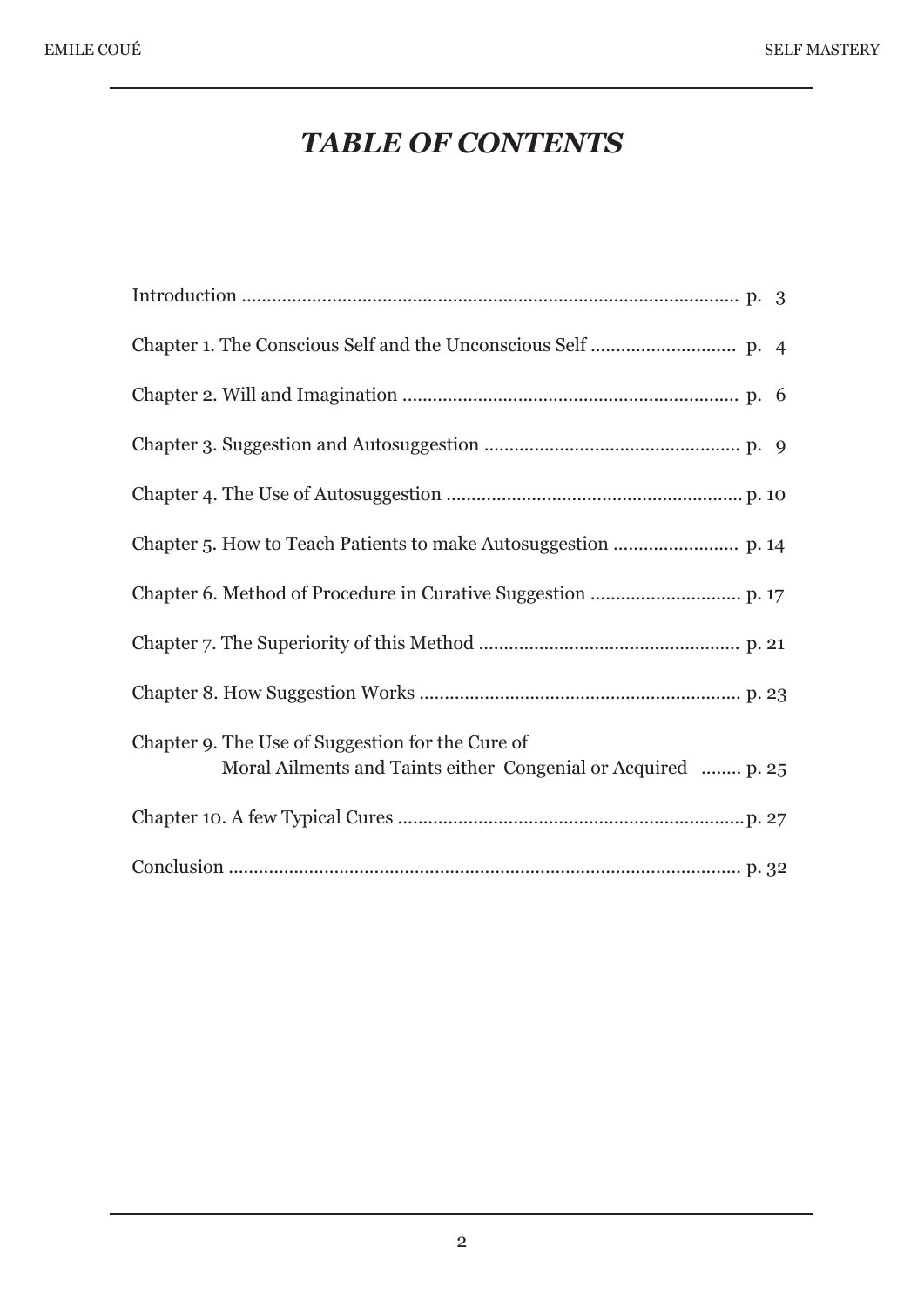# *TABLE OF CONTENTS*

| Chapter 9. The Use of Suggestion for the Cure of<br>Moral Ailments and Taints either Congenial or Acquired  p. 25 |
|-------------------------------------------------------------------------------------------------------------------|
|                                                                                                                   |
|                                                                                                                   |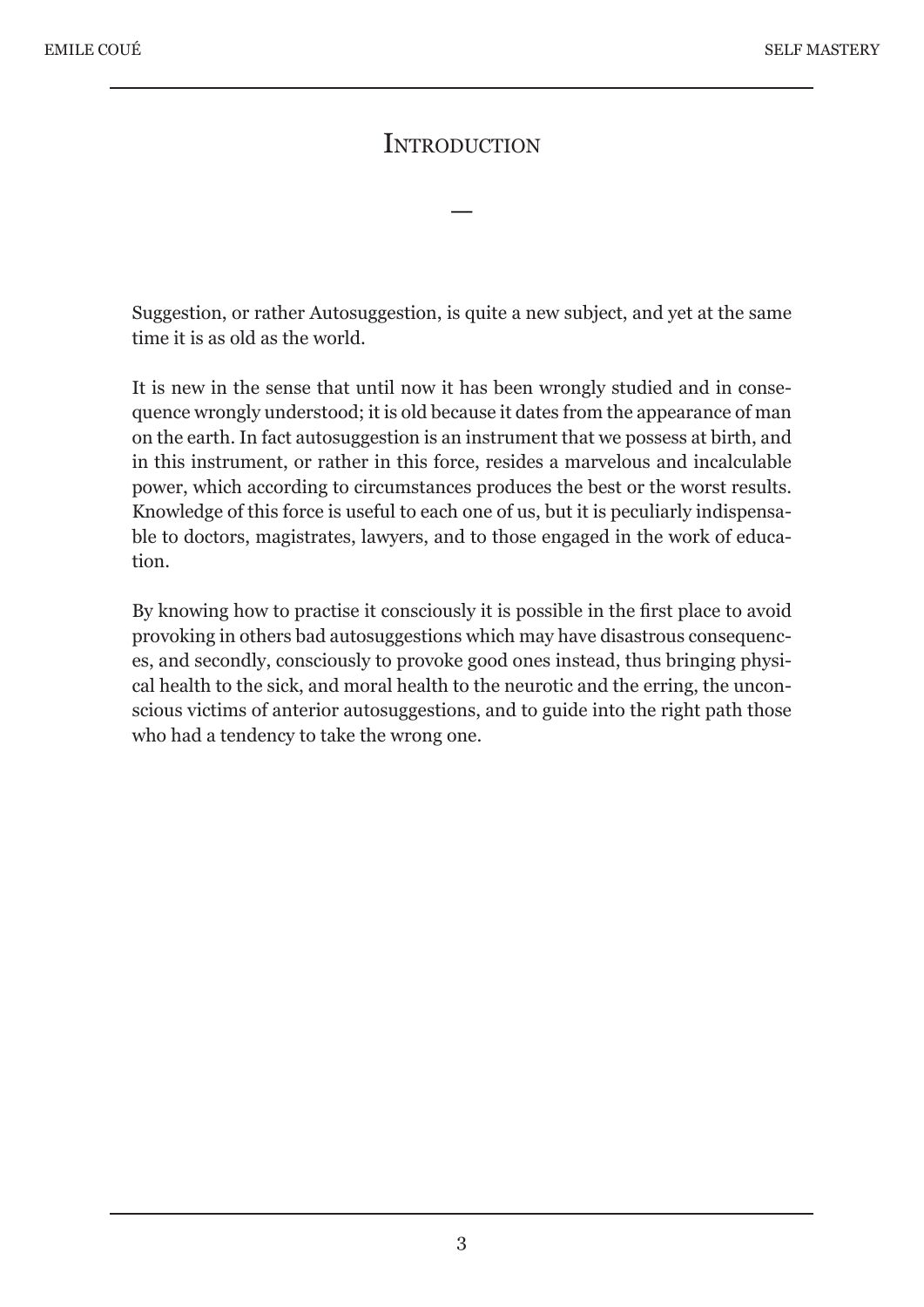#### **INTRODUCTION**

—

Suggestion, or rather Autosuggestion, is quite a new subject, and yet at the same time it is as old as the world.

It is new in the sense that until now it has been wrongly studied and in consequence wrongly understood; it is old because it dates from the appearance of man on the earth. In fact autosuggestion is an instrument that we possess at birth, and in this instrument, or rather in this force, resides a marvelous and incalculable power, which according to circumstances produces the best or the worst results. Knowledge of this force is useful to each one of us, but it is peculiarly indispensable to doctors, magistrates, lawyers, and to those engaged in the work of education.

By knowing how to practise it consciously it is possible in the first place to avoid provoking in others bad autosuggestions which may have disastrous consequences, and secondly, consciously to provoke good ones instead, thus bringing physical health to the sick, and moral health to the neurotic and the erring, the unconscious victims of anterior autosuggestions, and to guide into the right path those who had a tendency to take the wrong one.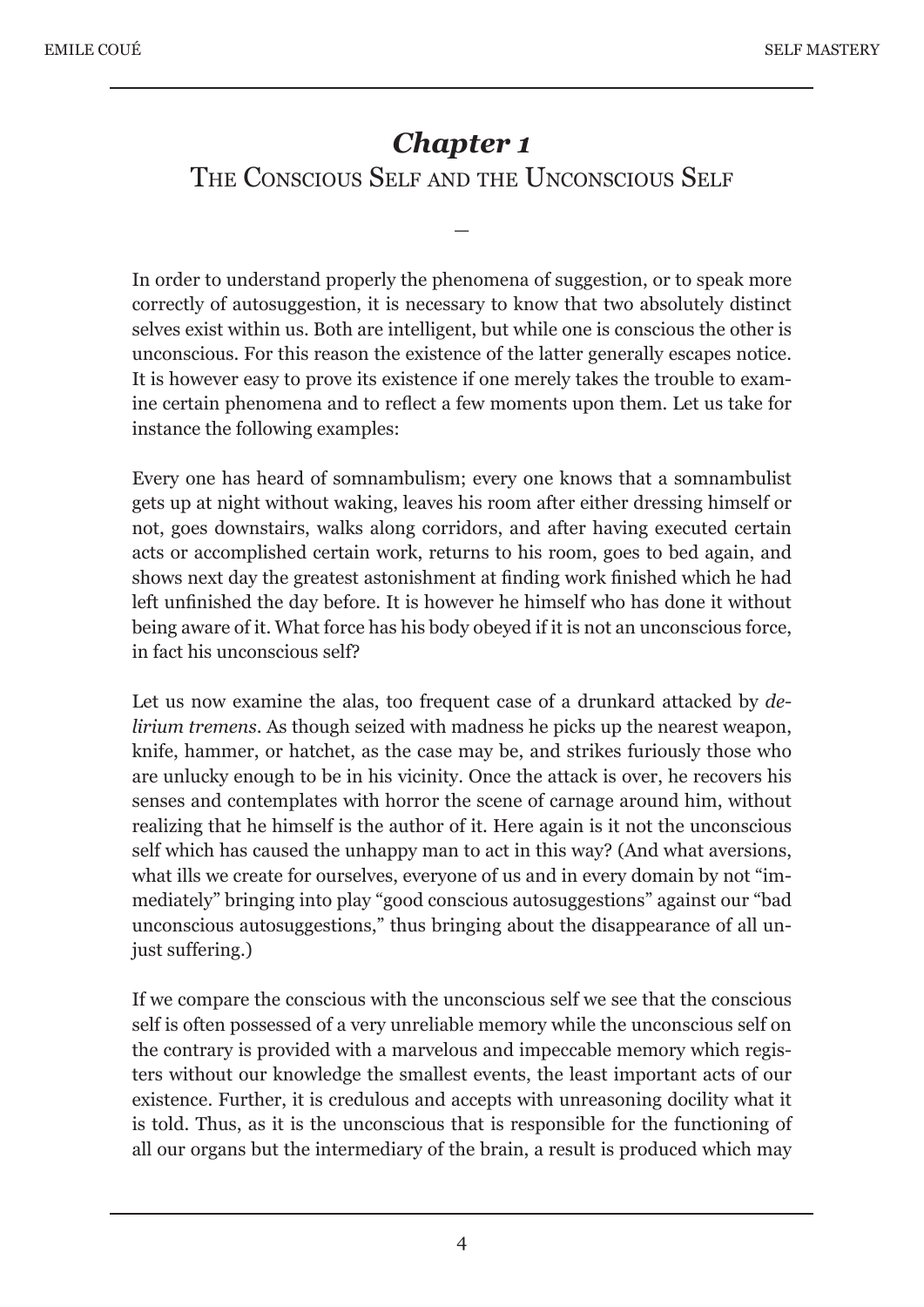# *Chapter 1* THE CONSCIOUS SELF AND THE UNCONSCIOUS SELF

—

In order to understand properly the phenomena of suggestion, or to speak more correctly of autosuggestion, it is necessary to know that two absolutely distinct selves exist within us. Both are intelligent, but while one is conscious the other is unconscious. For this reason the existence of the latter generally escapes notice. It is however easy to prove its existence if one merely takes the trouble to examine certain phenomena and to reflect a few moments upon them. Let us take for instance the following examples:

Every one has heard of somnambulism; every one knows that a somnambulist gets up at night without waking, leaves his room after either dressing himself or not, goes downstairs, walks along corridors, and after having executed certain acts or accomplished certain work, returns to his room, goes to bed again, and shows next day the greatest astonishment at finding work finished which he had left unfinished the day before. It is however he himself who has done it without being aware of it. What force has his body obeyed if it is not an unconscious force, in fact his unconscious self?

Let us now examine the alas, too frequent case of a drunkard attacked by *delirium tremens*. As though seized with madness he picks up the nearest weapon, knife, hammer, or hatchet, as the case may be, and strikes furiously those who are unlucky enough to be in his vicinity. Once the attack is over, he recovers his senses and contemplates with horror the scene of carnage around him, without realizing that he himself is the author of it. Here again is it not the unconscious self which has caused the unhappy man to act in this way? (And what aversions, what ills we create for ourselves, everyone of us and in every domain by not "immediately" bringing into play "good conscious autosuggestions" against our "bad unconscious autosuggestions," thus bringing about the disappearance of all unjust suffering.)

If we compare the conscious with the unconscious self we see that the conscious self is often possessed of a very unreliable memory while the unconscious self on the contrary is provided with a marvelous and impeccable memory which registers without our knowledge the smallest events, the least important acts of our existence. Further, it is credulous and accepts with unreasoning docility what it is told. Thus, as it is the unconscious that is responsible for the functioning of all our organs but the intermediary of the brain, a result is produced which may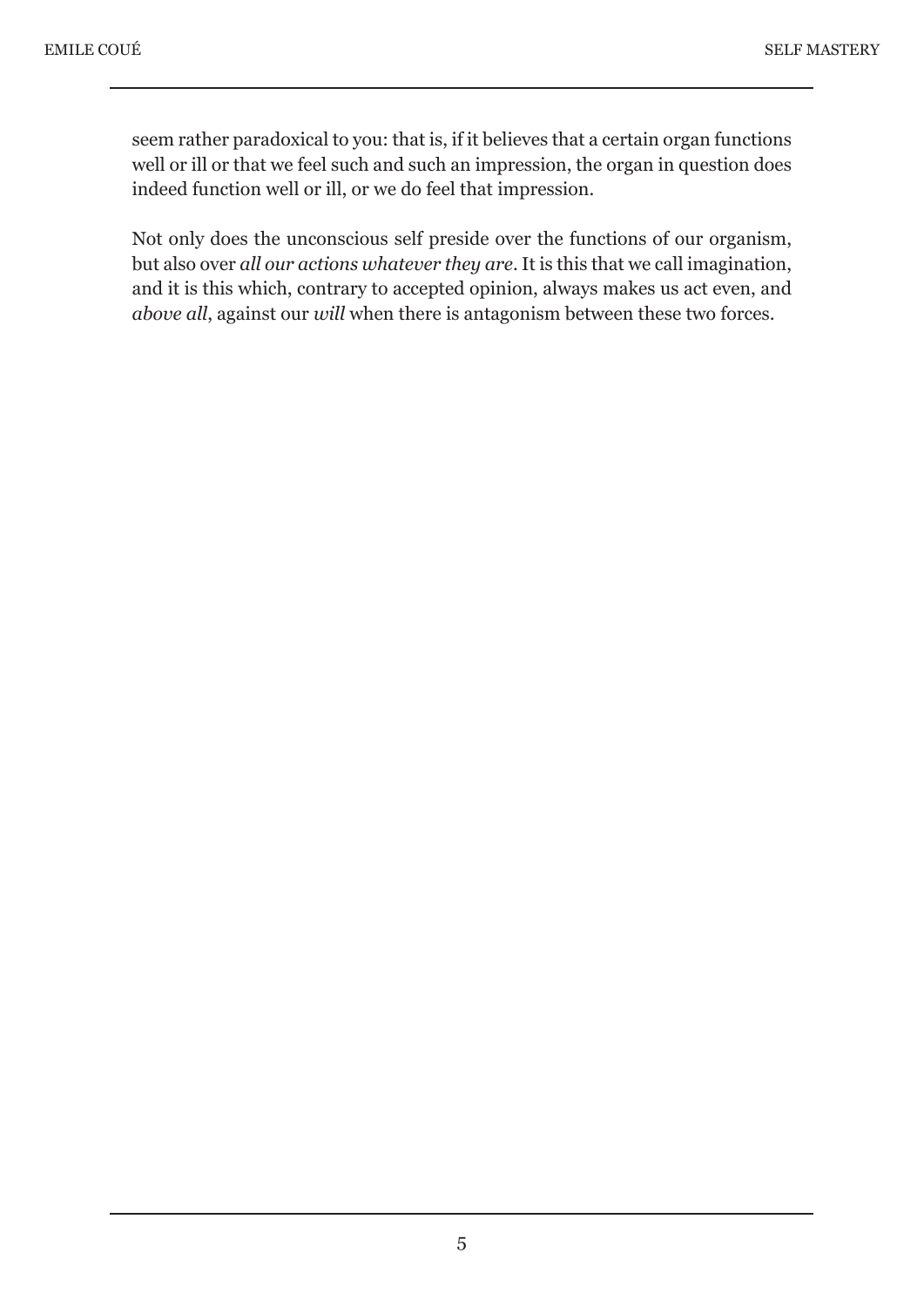seem rather paradoxical to you: that is, if it believes that a certain organ functions well or ill or that we feel such and such an impression, the organ in question does indeed function well or ill, or we do feel that impression.

Not only does the unconscious self preside over the functions of our organism, but also over *all our actions whatever they are*. It is this that we call imagination, and it is this which, contrary to accepted opinion, always makes us act even, and *above all*, against our *will* when there is antagonism between these two forces.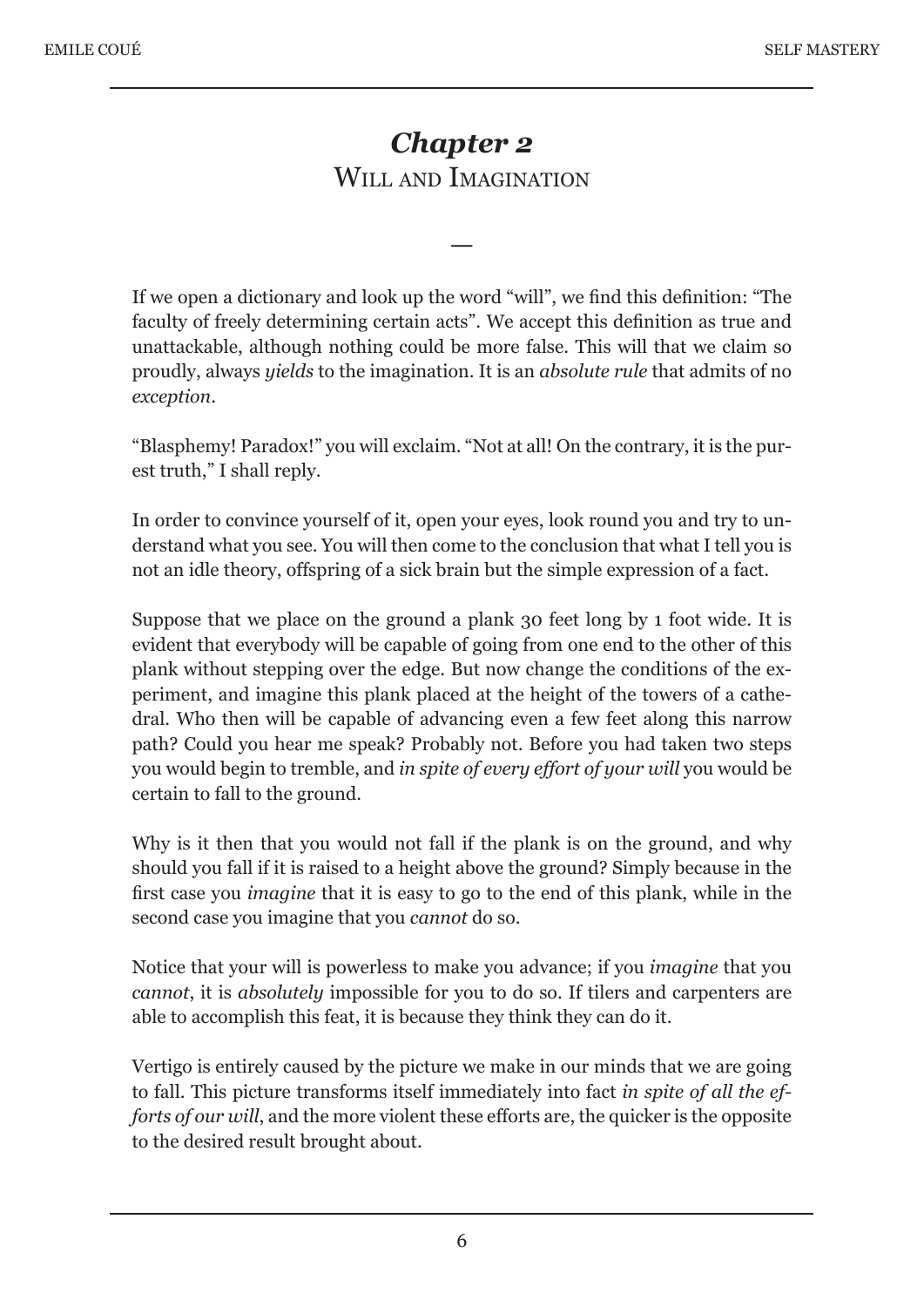# *Chapter 2* WILL AND IMAGINATION

—

If we open a dictionary and look up the word "will", we find this definition: "The faculty of freely determining certain acts". We accept this definition as true and unattackable, although nothing could be more false. This will that we claim so proudly, always *yields* to the imagination. It is an *absolute rule* that admits of no *exception*.

"Blasphemy! Paradox!" you will exclaim. "Not at all! On the contrary, it is the purest truth," I shall reply.

In order to convince yourself of it, open your eyes, look round you and try to understand what you see. You will then come to the conclusion that what I tell you is not an idle theory, offspring of a sick brain but the simple expression of a fact.

Suppose that we place on the ground a plank 30 feet long by 1 foot wide. It is evident that everybody will be capable of going from one end to the other of this plank without stepping over the edge. But now change the conditions of the experiment, and imagine this plank placed at the height of the towers of a cathedral. Who then will be capable of advancing even a few feet along this narrow path? Could you hear me speak? Probably not. Before you had taken two steps you would begin to tremble, and *in spite of every effort of your will* you would be certain to fall to the ground.

Why is it then that you would not fall if the plank is on the ground, and why should you fall if it is raised to a height above the ground? Simply because in the first case you *imagine* that it is easy to go to the end of this plank, while in the second case you imagine that you *cannot* do so.

Notice that your will is powerless to make you advance; if you *imagine* that you *cannot*, it is *absolutely* impossible for you to do so. If tilers and carpenters are able to accomplish this feat, it is because they think they can do it.

Vertigo is entirely caused by the picture we make in our minds that we are going to fall. This picture transforms itself immediately into fact *in spite of all the efforts of our will*, and the more violent these efforts are, the quicker is the opposite to the desired result brought about.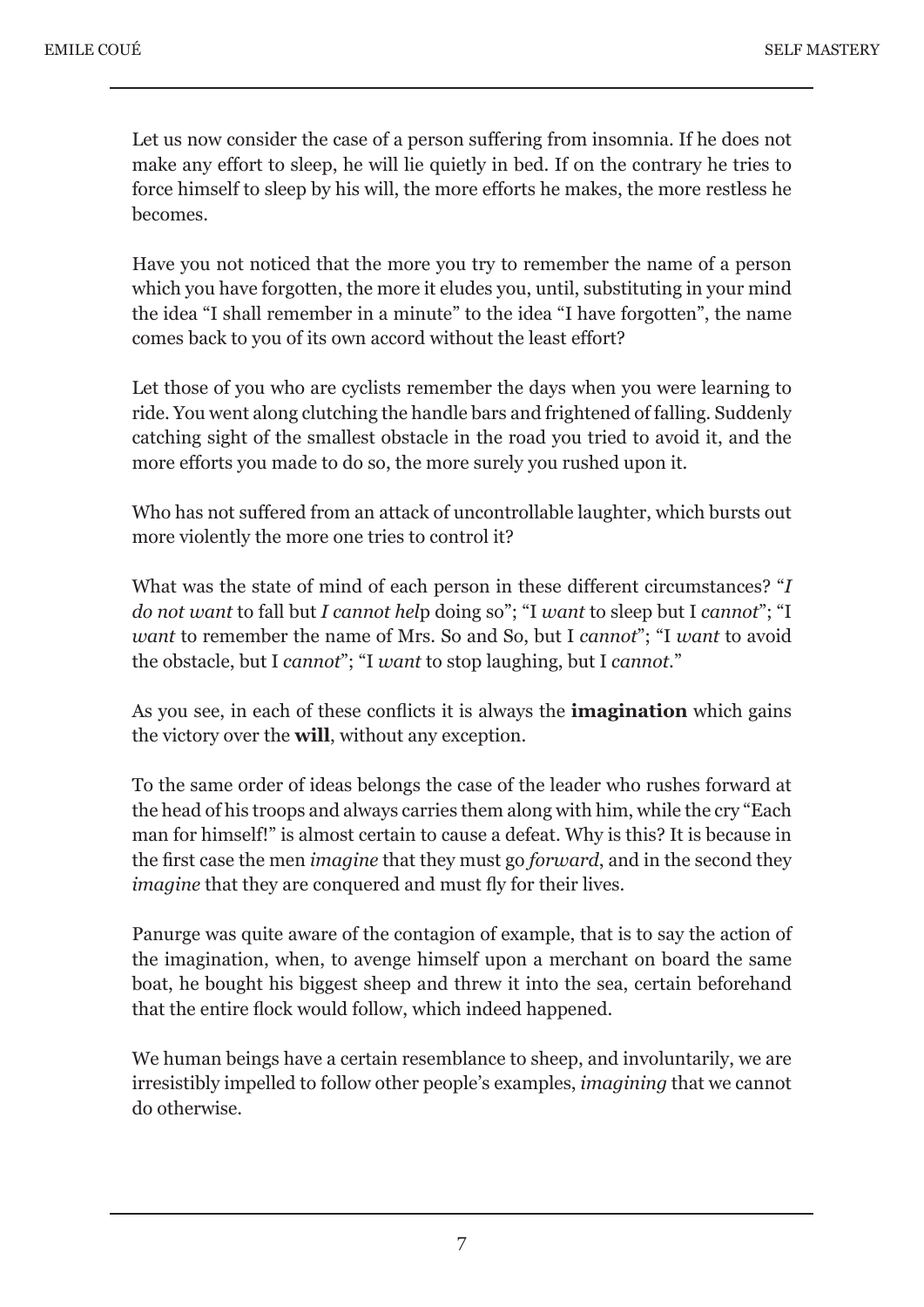Let us now consider the case of a person suffering from insomnia. If he does not make any effort to sleep, he will lie quietly in bed. If on the contrary he tries to force himself to sleep by his will, the more efforts he makes, the more restless he becomes.

Have you not noticed that the more you try to remember the name of a person which you have forgotten, the more it eludes you, until, substituting in your mind the idea "I shall remember in a minute" to the idea "I have forgotten", the name comes back to you of its own accord without the least effort?

Let those of you who are cyclists remember the days when you were learning to ride. You went along clutching the handle bars and frightened of falling. Suddenly catching sight of the smallest obstacle in the road you tried to avoid it, and the more efforts you made to do so, the more surely you rushed upon it.

Who has not suffered from an attack of uncontrollable laughter, which bursts out more violently the more one tries to control it?

What was the state of mind of each person in these different circumstances? "*I do not want* to fall but *I cannot hel*p doing so"; "I *want* to sleep but I *cannot*"; "I *want* to remember the name of Mrs. So and So, but I *cannot*"; "I *want* to avoid the obstacle, but I *cannot*"; "I *want* to stop laughing, but I *cannot*."

As you see, in each of these conflicts it is always the **imagination** which gains the victory over the **will**, without any exception.

To the same order of ideas belongs the case of the leader who rushes forward at the head of his troops and always carries them along with him, while the cry "Each man for himself!" is almost certain to cause a defeat. Why is this? It is because in the first case the men *imagine* that they must go *forward*, and in the second they *imagine* that they are conquered and must fly for their lives.

Panurge was quite aware of the contagion of example, that is to say the action of the imagination, when, to avenge himself upon a merchant on board the same boat, he bought his biggest sheep and threw it into the sea, certain beforehand that the entire flock would follow, which indeed happened.

We human beings have a certain resemblance to sheep, and involuntarily, we are irresistibly impelled to follow other people's examples, *imagining* that we cannot do otherwise.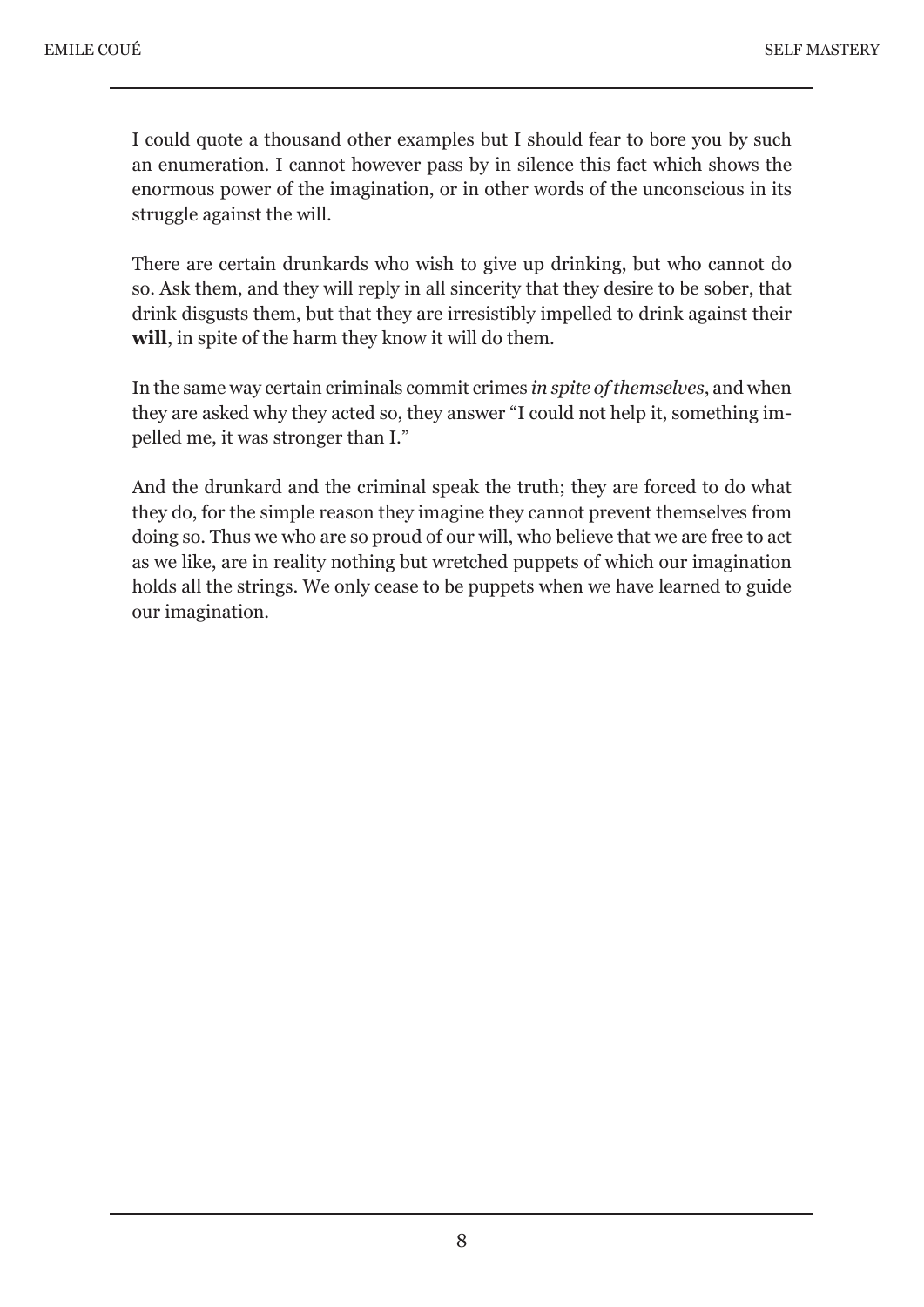I could quote a thousand other examples but I should fear to bore you by such an enumeration. I cannot however pass by in silence this fact which shows the enormous power of the imagination, or in other words of the unconscious in its struggle against the will.

There are certain drunkards who wish to give up drinking, but who cannot do so. Ask them, and they will reply in all sincerity that they desire to be sober, that drink disgusts them, but that they are irresistibly impelled to drink against their **will**, in spite of the harm they know it will do them.

In the same way certain criminals commit crimes *in spite of themselves*, and when they are asked why they acted so, they answer "I could not help it, something impelled me, it was stronger than I."

And the drunkard and the criminal speak the truth; they are forced to do what they do, for the simple reason they imagine they cannot prevent themselves from doing so. Thus we who are so proud of our will, who believe that we are free to act as we like, are in reality nothing but wretched puppets of which our imagination holds all the strings. We only cease to be puppets when we have learned to guide our imagination.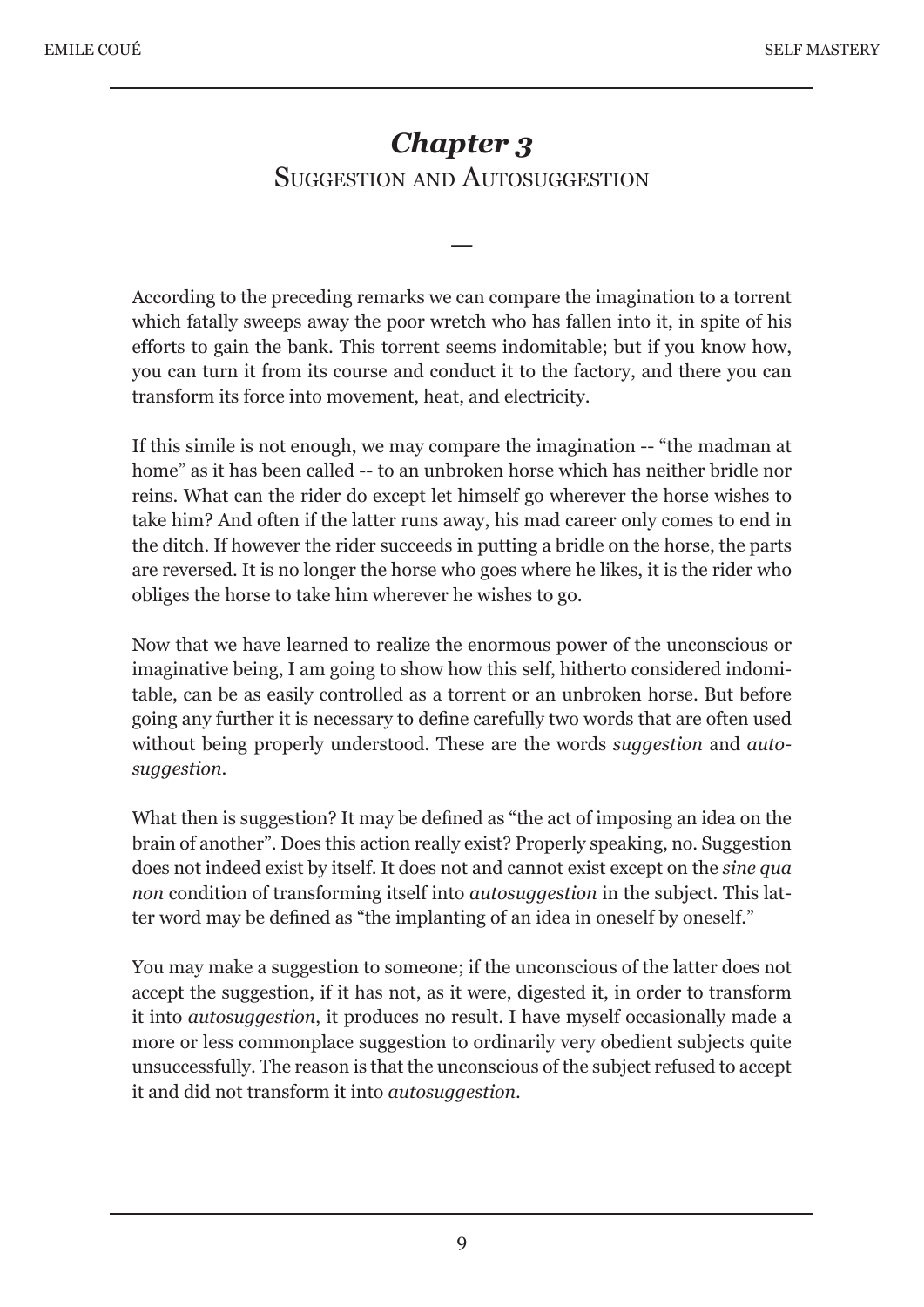# *Chapter 3* SUGGESTION AND AUTOSUGGESTION

—

According to the preceding remarks we can compare the imagination to a torrent which fatally sweeps away the poor wretch who has fallen into it, in spite of his efforts to gain the bank. This torrent seems indomitable; but if you know how, you can turn it from its course and conduct it to the factory, and there you can transform its force into movement, heat, and electricity.

If this simile is not enough, we may compare the imagination -- "the madman at home" as it has been called -- to an unbroken horse which has neither bridle nor reins. What can the rider do except let himself go wherever the horse wishes to take him? And often if the latter runs away, his mad career only comes to end in the ditch. If however the rider succeeds in putting a bridle on the horse, the parts are reversed. It is no longer the horse who goes where he likes, it is the rider who obliges the horse to take him wherever he wishes to go.

Now that we have learned to realize the enormous power of the unconscious or imaginative being, I am going to show how this self, hitherto considered indomitable, can be as easily controlled as a torrent or an unbroken horse. But before going any further it is necessary to define carefully two words that are often used without being properly understood. These are the words *suggestion* and *autosuggestion*.

What then is suggestion? It may be defined as "the act of imposing an idea on the brain of another". Does this action really exist? Properly speaking, no. Suggestion does not indeed exist by itself. It does not and cannot exist except on the *sine qua non* condition of transforming itself into *autosuggestion* in the subject. This latter word may be defined as "the implanting of an idea in oneself by oneself."

You may make a suggestion to someone; if the unconscious of the latter does not accept the suggestion, if it has not, as it were, digested it, in order to transform it into *autosuggestion*, it produces no result. I have myself occasionally made a more or less commonplace suggestion to ordinarily very obedient subjects quite unsuccessfully. The reason is that the unconscious of the subject refused to accept it and did not transform it into *autosuggestion*.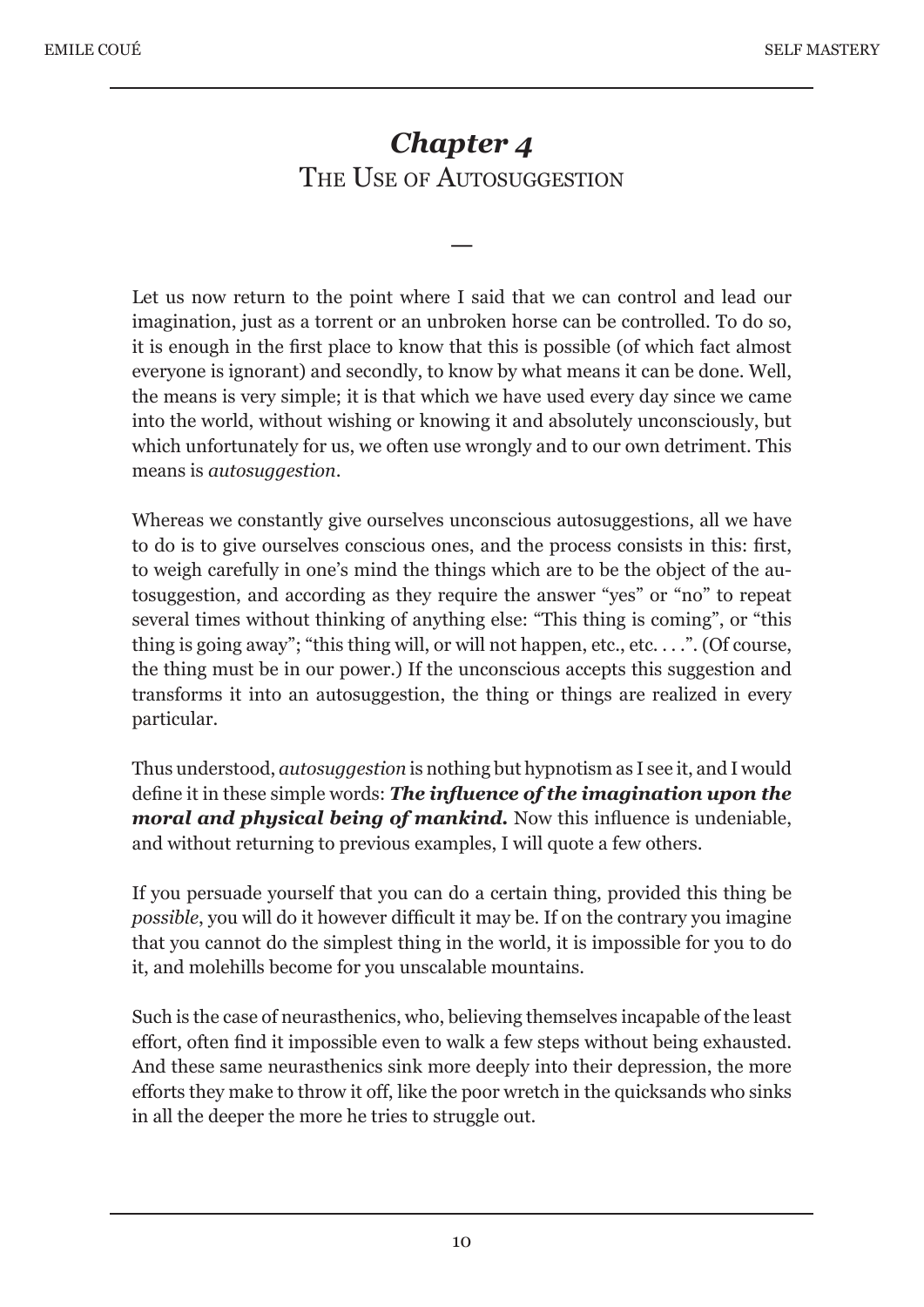# *Chapter 4* THE USE OF AUTOSUGGESTION

—

Let us now return to the point where I said that we can control and lead our imagination, just as a torrent or an unbroken horse can be controlled. To do so, it is enough in the first place to know that this is possible (of which fact almost everyone is ignorant) and secondly, to know by what means it can be done. Well, the means is very simple; it is that which we have used every day since we came into the world, without wishing or knowing it and absolutely unconsciously, but which unfortunately for us, we often use wrongly and to our own detriment. This means is *autosuggestion*.

Whereas we constantly give ourselves unconscious autosuggestions, all we have to do is to give ourselves conscious ones, and the process consists in this: first, to weigh carefully in one's mind the things which are to be the object of the autosuggestion, and according as they require the answer "yes" or "no" to repeat several times without thinking of anything else: "This thing is coming", or "this thing is going away"; "this thing will, or will not happen, etc., etc....". (Of course, the thing must be in our power.) If the unconscious accepts this suggestion and transforms it into an autosuggestion, the thing or things are realized in every particular.

Thus understood, *autosuggestion* is nothing but hypnotism as I see it, and I would define it in these simple words: *The influence of the imagination upon the moral and physical being of mankind.* Now this influence is undeniable, and without returning to previous examples, I will quote a few others.

If you persuade yourself that you can do a certain thing, provided this thing be *possible*, you will do it however difficult it may be. If on the contrary you imagine that you cannot do the simplest thing in the world, it is impossible for you to do it, and molehills become for you unscalable mountains.

Such is the case of neurasthenics, who, believing themselves incapable of the least effort, often find it impossible even to walk a few steps without being exhausted. And these same neurasthenics sink more deeply into their depression, the more efforts they make to throw it off, like the poor wretch in the quicksands who sinks in all the deeper the more he tries to struggle out.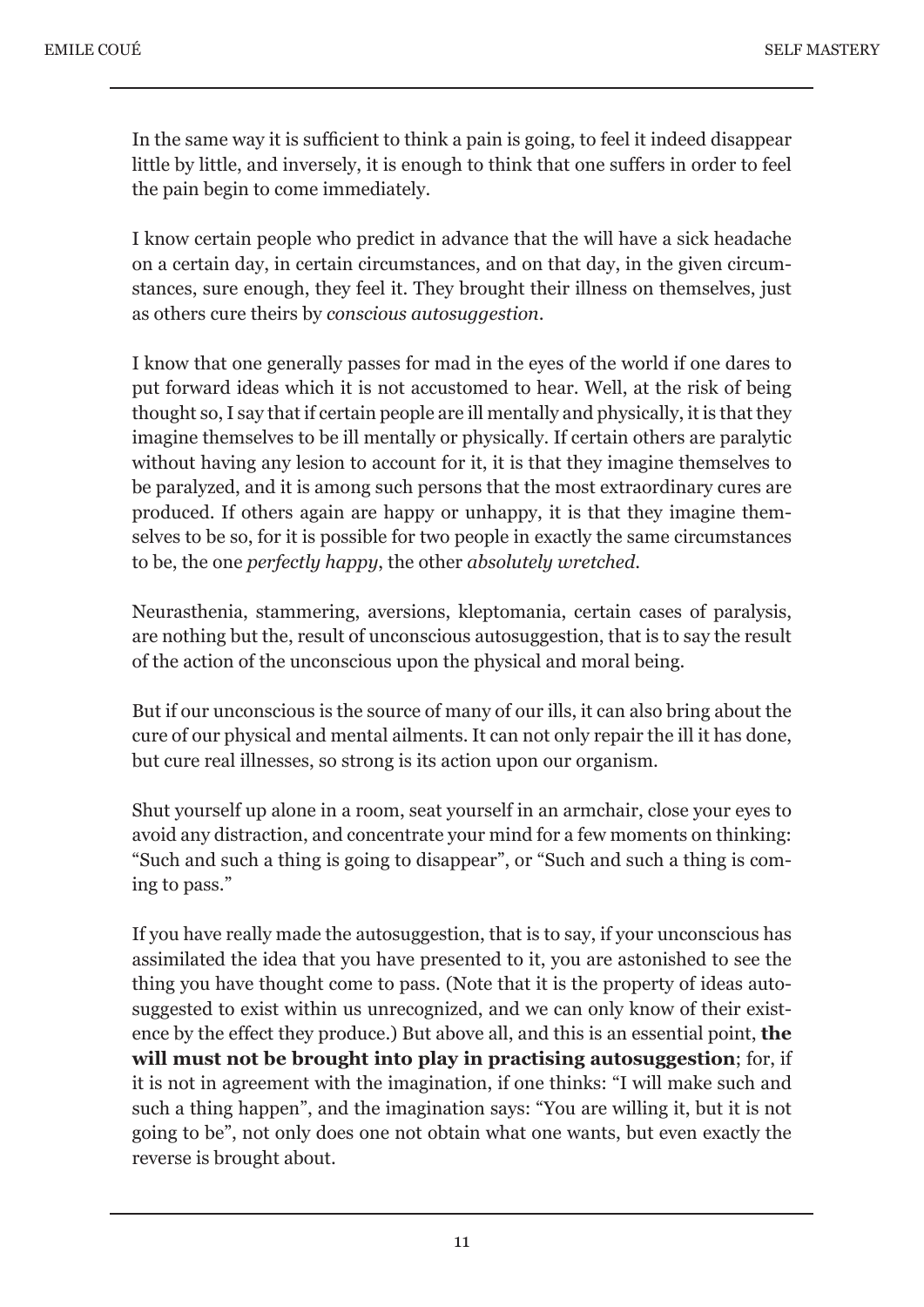In the same way it is sufficient to think a pain is going, to feel it indeed disappear little by little, and inversely, it is enough to think that one suffers in order to feel the pain begin to come immediately.

I know certain people who predict in advance that the will have a sick headache on a certain day, in certain circumstances, and on that day, in the given circumstances, sure enough, they feel it. They brought their illness on themselves, just as others cure theirs by *conscious autosuggestion*.

I know that one generally passes for mad in the eyes of the world if one dares to put forward ideas which it is not accustomed to hear. Well, at the risk of being thought so, I say that if certain people are ill mentally and physically, it is that they imagine themselves to be ill mentally or physically. If certain others are paralytic without having any lesion to account for it, it is that they imagine themselves to be paralyzed, and it is among such persons that the most extraordinary cures are produced. If others again are happy or unhappy, it is that they imagine themselves to be so, for it is possible for two people in exactly the same circumstances to be, the one *perfectly happy*, the other *absolutely wretched*.

Neurasthenia, stammering, aversions, kleptomania, certain cases of paralysis, are nothing but the, result of unconscious autosuggestion, that is to say the result of the action of the unconscious upon the physical and moral being.

But if our unconscious is the source of many of our ills, it can also bring about the cure of our physical and mental ailments. It can not only repair the ill it has done, but cure real illnesses, so strong is its action upon our organism.

Shut yourself up alone in a room, seat yourself in an armchair, close your eyes to avoid any distraction, and concentrate your mind for a few moments on thinking: "Such and such a thing is going to disappear", or "Such and such a thing is coming to pass."

If you have really made the autosuggestion, that is to say, if your unconscious has assimilated the idea that you have presented to it, you are astonished to see the thing you have thought come to pass. (Note that it is the property of ideas autosuggested to exist within us unrecognized, and we can only know of their existence by the effect they produce.) But above all, and this is an essential point, **the will must not be brought into play in practising autosuggestion**; for, if it is not in agreement with the imagination, if one thinks: "I will make such and such a thing happen", and the imagination says: "You are willing it, but it is not going to be", not only does one not obtain what one wants, but even exactly the reverse is brought about.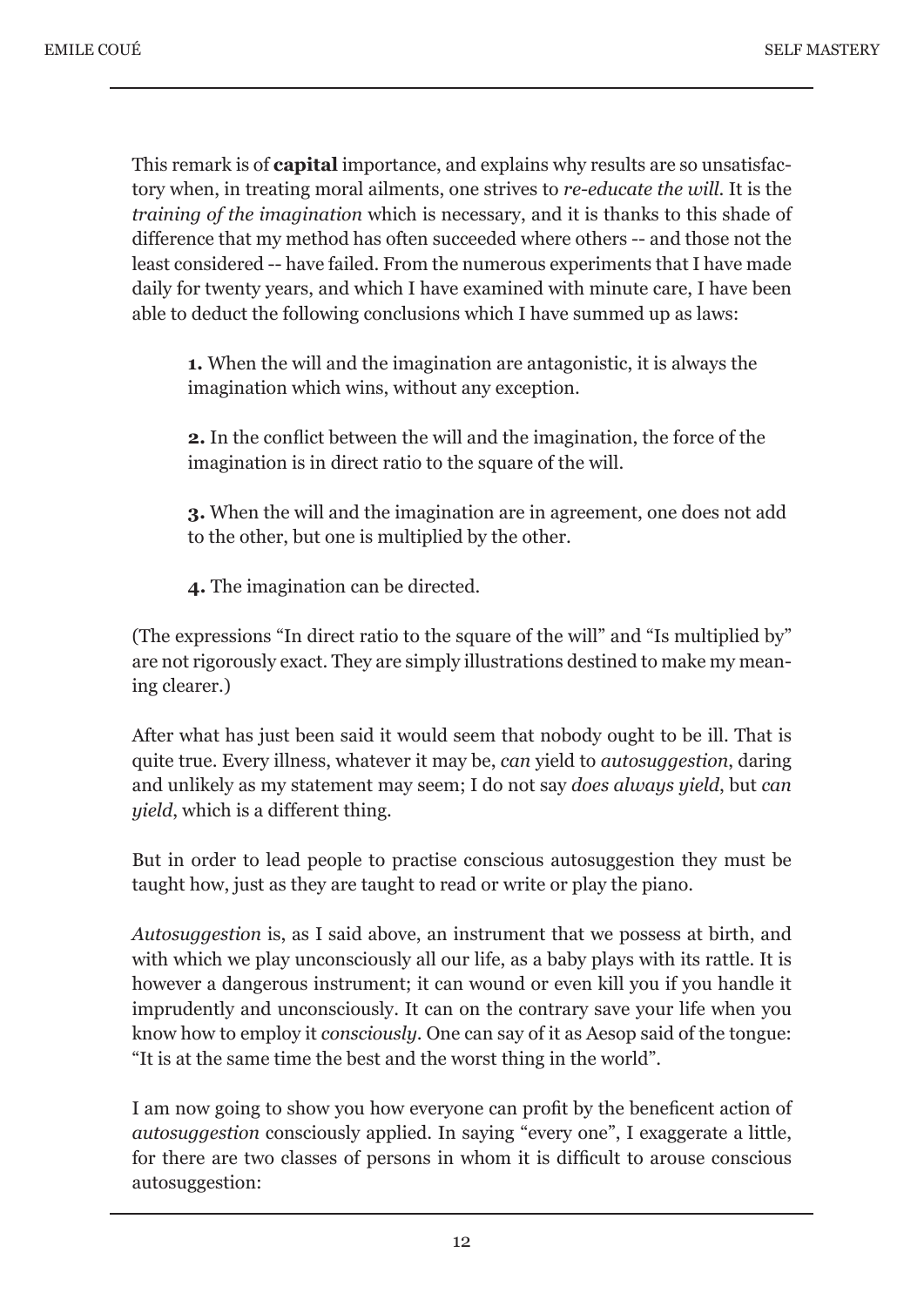This remark is of **capital** importance, and explains why results are so unsatisfactory when, in treating moral ailments, one strives to *re-educate the will*. It is the *training of the imagination* which is necessary, and it is thanks to this shade of difference that my method has often succeeded where others -- and those not the least considered -- have failed. From the numerous experiments that I have made daily for twenty years, and which I have examined with minute care, I have been able to deduct the following conclusions which I have summed up as laws:

 **1.** When the will and the imagination are antagonistic, it is always the imagination which wins, without any exception.

 **2.** In the conflict between the will and the imagination, the force of the imagination is in direct ratio to the square of the will.

 **3.** When the will and the imagination are in agreement, one does not add to the other, but one is multiplied by the other.

 **4.** The imagination can be directed.

(The expressions "In direct ratio to the square of the will" and "Is multiplied by" are not rigorously exact. They are simply illustrations destined to make my meaning clearer.)

After what has just been said it would seem that nobody ought to be ill. That is quite true. Every illness, whatever it may be, *can* yield to *autosuggestion*, daring and unlikely as my statement may seem; I do not say *does always yield*, but *can yield*, which is a different thing.

But in order to lead people to practise conscious autosuggestion they must be taught how, just as they are taught to read or write or play the piano.

*Autosuggestion* is, as I said above, an instrument that we possess at birth, and with which we play unconsciously all our life, as a baby plays with its rattle. It is however a dangerous instrument; it can wound or even kill you if you handle it imprudently and unconsciously. It can on the contrary save your life when you know how to employ it *consciously*. One can say of it as Aesop said of the tongue: "It is at the same time the best and the worst thing in the world".

I am now going to show you how everyone can profit by the beneficent action of *autosuggestion* consciously applied. In saying "every one", I exaggerate a little, for there are two classes of persons in whom it is difficult to arouse conscious autosuggestion: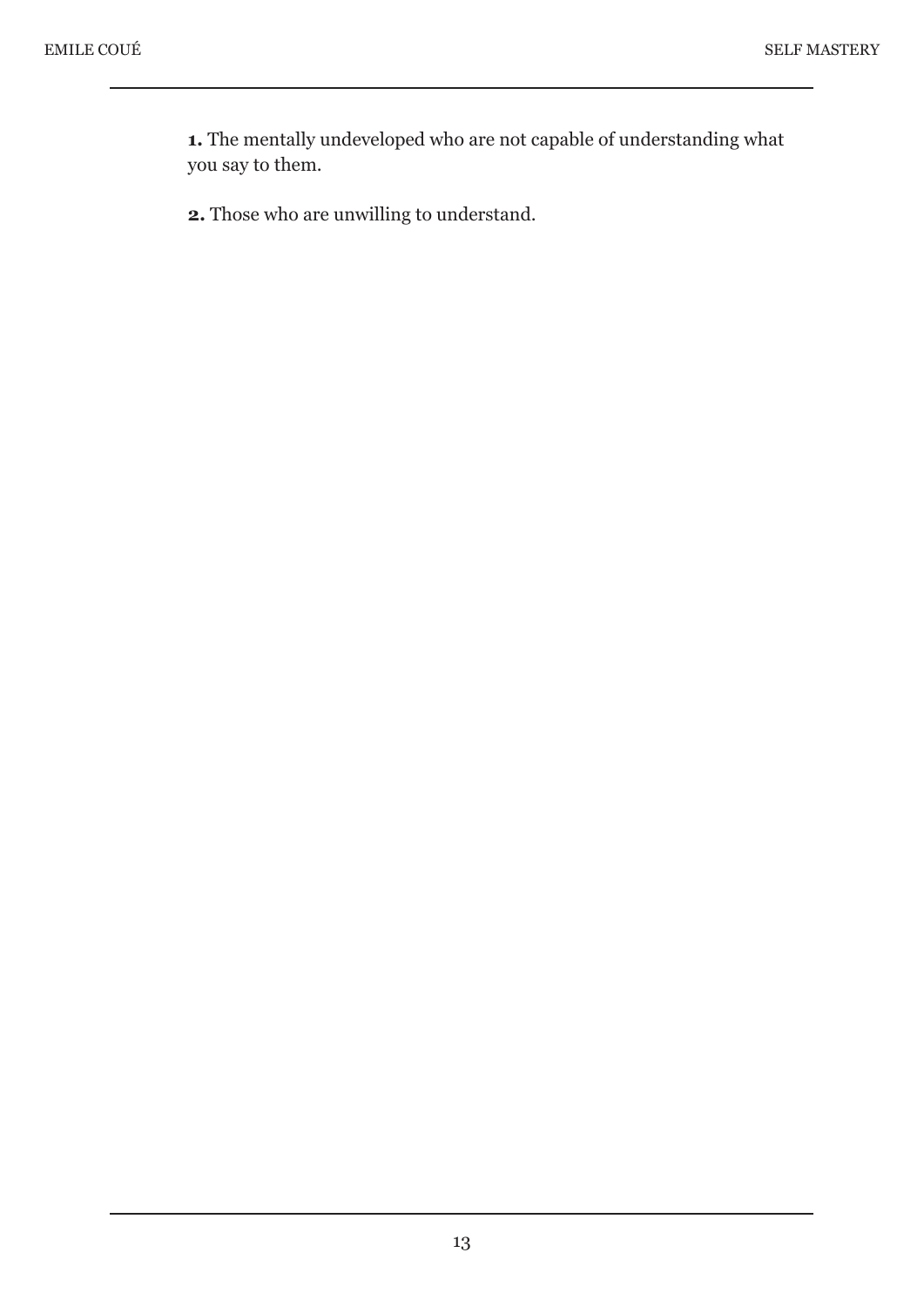**1.** The mentally undeveloped who are not capable of understanding what you say to them.

**2.** Those who are unwilling to understand.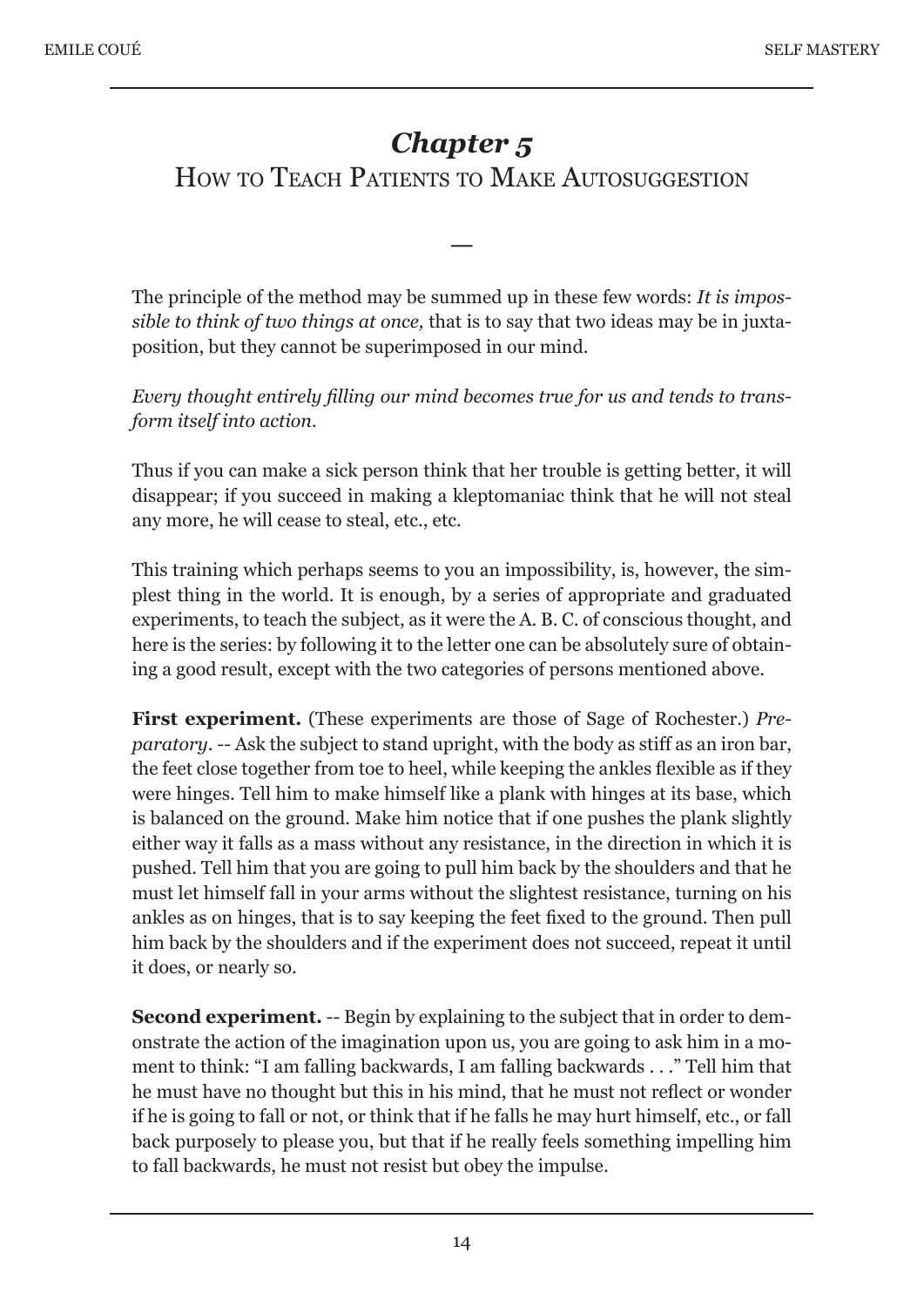# *Chapter 5* HOW TO TEACH PATIENTS TO MAKE AUTOSUGGESTION

The principle of the method may be summed up in these few words: *It is impossible to think of two things at once,* that is to say that two ideas may be in juxtaposition, but they cannot be superimposed in our mind.

—

*Every thought entirely filling our mind becomes true for us and tends to transform itself into action.* 

Thus if you can make a sick person think that her trouble is getting better, it will disappear; if you succeed in making a kleptomaniac think that he will not steal any more, he will cease to steal, etc., etc.

This training which perhaps seems to you an impossibility, is, however, the simplest thing in the world. It is enough, by a series of appropriate and graduated experiments, to teach the subject, as it were the A. B. C. of conscious thought, and here is the series: by following it to the letter one can be absolutely sure of obtaining a good result, except with the two categories of persons mentioned above.

**First experiment.** (These experiments are those of Sage of Rochester.) *Preparatory*. -- Ask the subject to stand upright, with the body as stiff as an iron bar, the feet close together from toe to heel, while keeping the ankles flexible as if they were hinges. Tell him to make himself like a plank with hinges at its base, which is balanced on the ground. Make him notice that if one pushes the plank slightly either way it falls as a mass without any resistance, in the direction in which it is pushed. Tell him that you are going to pull him back by the shoulders and that he must let himself fall in your arms without the slightest resistance, turning on his ankles as on hinges, that is to say keeping the feet fixed to the ground. Then pull him back by the shoulders and if the experiment does not succeed, repeat it until it does, or nearly so.

**Second experiment.** -- Begin by explaining to the subject that in order to demonstrate the action of the imagination upon us, you are going to ask him in a moment to think: "I am falling backwards, I am falling backwards . . ." Tell him that he must have no thought but this in his mind, that he must not reflect or wonder if he is going to fall or not, or think that if he falls he may hurt himself, etc., or fall back purposely to please you, but that if he really feels something impelling him to fall backwards, he must not resist but obey the impulse.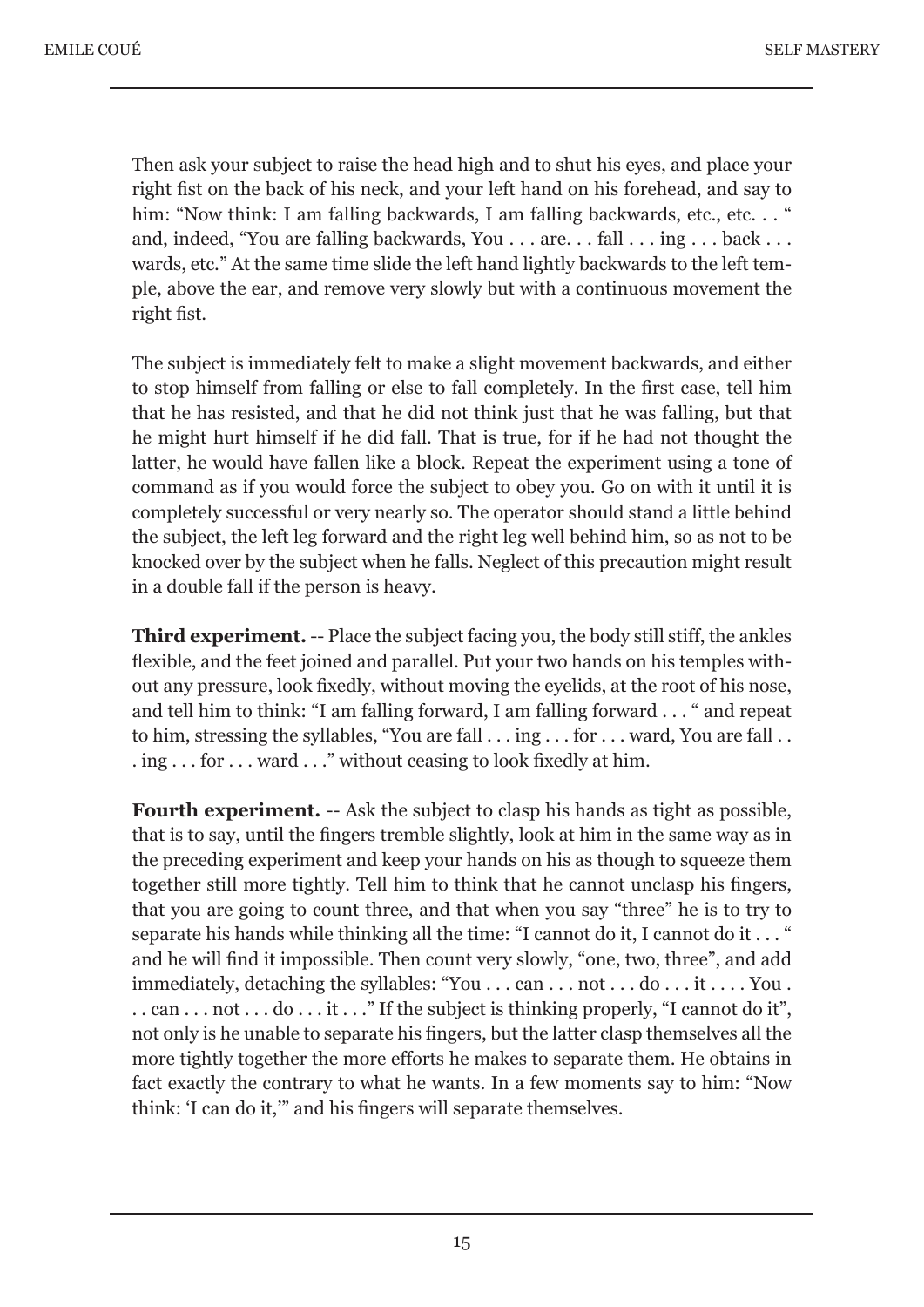Then ask your subject to raise the head high and to shut his eyes, and place your right fist on the back of his neck, and your left hand on his forehead, and say to him: "Now think: I am falling backwards, I am falling backwards, etc., etc..." and, indeed, "You are falling backwards, You . . . are. . . fall . . . ing . . . back . . . wards, etc." At the same time slide the left hand lightly backwards to the left temple, above the ear, and remove very slowly but with a continuous movement the right fist.

The subject is immediately felt to make a slight movement backwards, and either to stop himself from falling or else to fall completely. In the first case, tell him that he has resisted, and that he did not think just that he was falling, but that he might hurt himself if he did fall. That is true, for if he had not thought the latter, he would have fallen like a block. Repeat the experiment using a tone of command as if you would force the subject to obey you. Go on with it until it is completely successful or very nearly so. The operator should stand a little behind the subject, the left leg forward and the right leg well behind him, so as not to be knocked over by the subject when he falls. Neglect of this precaution might result in a double fall if the person is heavy.

**Third experiment.** -- Place the subject facing you, the body still stiff, the ankles flexible, and the feet joined and parallel. Put your two hands on his temples without any pressure, look fixedly, without moving the eyelids, at the root of his nose, and tell him to think: "I am falling forward, I am falling forward . . . " and repeat to him, stressing the syllables, "You are fall . . . ing . . . for . . . ward, You are fall . .  $\ldots$  ing  $\ldots$  for  $\ldots$  ward  $\ldots$  " without ceasing to look fixedly at him.

**Fourth experiment.** -- Ask the subject to clasp his hands as tight as possible, that is to say, until the fingers tremble slightly, look at him in the same way as in the preceding experiment and keep your hands on his as though to squeeze them together still more tightly. Tell him to think that he cannot unclasp his fingers, that you are going to count three, and that when you say "three" he is to try to separate his hands while thinking all the time: "I cannot do it, I cannot do it . . . " and he will find it impossible. Then count very slowly, "one, two, three", and add immediately, detaching the syllables: "You . . . can . . . not . . . do . . . it . . . . You .  $\dots$  can  $\dots$  not  $\dots$  do  $\dots$  it  $\dots$  " If the subject is thinking properly, "I cannot do it", not only is he unable to separate his fingers, but the latter clasp themselves all the more tightly together the more efforts he makes to separate them. He obtains in fact exactly the contrary to what he wants. In a few moments say to him: "Now think: 'I can do it,'" and his fingers will separate themselves.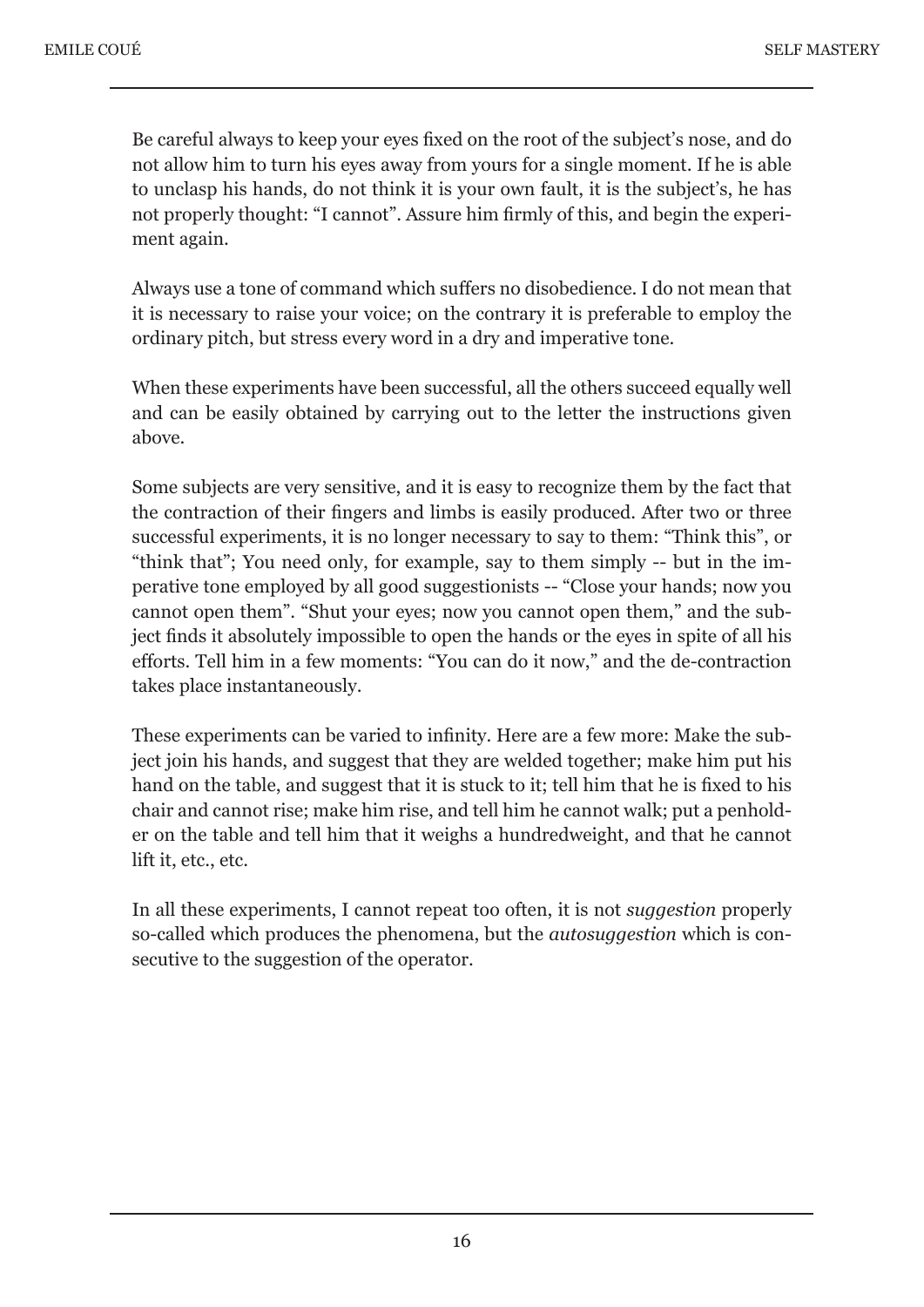Be careful always to keep your eyes fixed on the root of the subject's nose, and do not allow him to turn his eyes away from yours for a single moment. If he is able to unclasp his hands, do not think it is your own fault, it is the subject's, he has not properly thought: "I cannot". Assure him firmly of this, and begin the experiment again.

Always use a tone of command which suffers no disobedience. I do not mean that it is necessary to raise your voice; on the contrary it is preferable to employ the ordinary pitch, but stress every word in a dry and imperative tone.

When these experiments have been successful, all the others succeed equally well and can be easily obtained by carrying out to the letter the instructions given above.

Some subjects are very sensitive, and it is easy to recognize them by the fact that the contraction of their fingers and limbs is easily produced. After two or three successful experiments, it is no longer necessary to say to them: "Think this", or "think that"; You need only, for example, say to them simply -- but in the imperative tone employed by all good suggestionists -- "Close your hands; now you cannot open them". "Shut your eyes; now you cannot open them," and the subject finds it absolutely impossible to open the hands or the eyes in spite of all his efforts. Tell him in a few moments: "You can do it now," and the de-contraction takes place instantaneously.

These experiments can be varied to infinity. Here are a few more: Make the subject join his hands, and suggest that they are welded together; make him put his hand on the table, and suggest that it is stuck to it; tell him that he is fixed to his chair and cannot rise; make him rise, and tell him he cannot walk; put a penholder on the table and tell him that it weighs a hundredweight, and that he cannot lift it, etc., etc.

In all these experiments, I cannot repeat too often, it is not *suggestion* properly so-called which produces the phenomena, but the *autosuggestion* which is consecutive to the suggestion of the operator.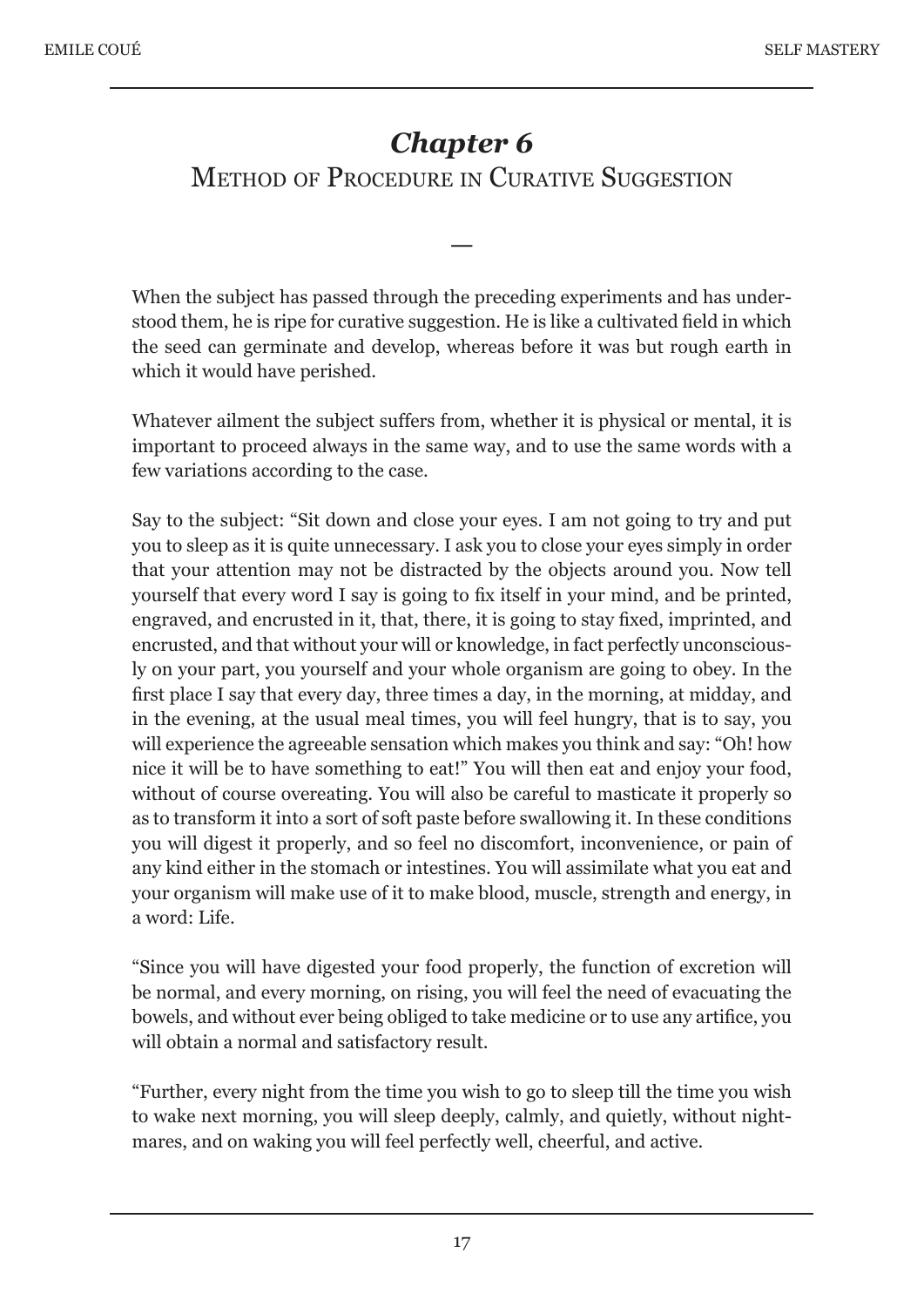# *Chapter 6* METHOD OF PROCEDURE IN CURATIVE SUGGESTION

When the subject has passed through the preceding experiments and has understood them, he is ripe for curative suggestion. He is like a cultivated field in which the seed can germinate and develop, whereas before it was but rough earth in which it would have perished.

—

Whatever ailment the subject suffers from, whether it is physical or mental, it is important to proceed always in the same way, and to use the same words with a few variations according to the case.

Say to the subject: "Sit down and close your eyes. I am not going to try and put you to sleep as it is quite unnecessary. I ask you to close your eyes simply in order that your attention may not be distracted by the objects around you. Now tell yourself that every word I say is going to fix itself in your mind, and be printed, engraved, and encrusted in it, that, there, it is going to stay fixed, imprinted, and encrusted, and that without your will or knowledge, in fact perfectly unconsciously on your part, you yourself and your whole organism are going to obey. In the first place I say that every day, three times a day, in the morning, at midday, and in the evening, at the usual meal times, you will feel hungry, that is to say, you will experience the agreeable sensation which makes you think and say: "Oh! how nice it will be to have something to eat!" You will then eat and enjoy your food, without of course overeating. You will also be careful to masticate it properly so as to transform it into a sort of soft paste before swallowing it. In these conditions you will digest it properly, and so feel no discomfort, inconvenience, or pain of any kind either in the stomach or intestines. You will assimilate what you eat and your organism will make use of it to make blood, muscle, strength and energy, in a word: Life.

"Since you will have digested your food properly, the function of excretion will be normal, and every morning, on rising, you will feel the need of evacuating the bowels, and without ever being obliged to take medicine or to use any artifice, you will obtain a normal and satisfactory result.

"Further, every night from the time you wish to go to sleep till the time you wish to wake next morning, you will sleep deeply, calmly, and quietly, without nightmares, and on waking you will feel perfectly well, cheerful, and active.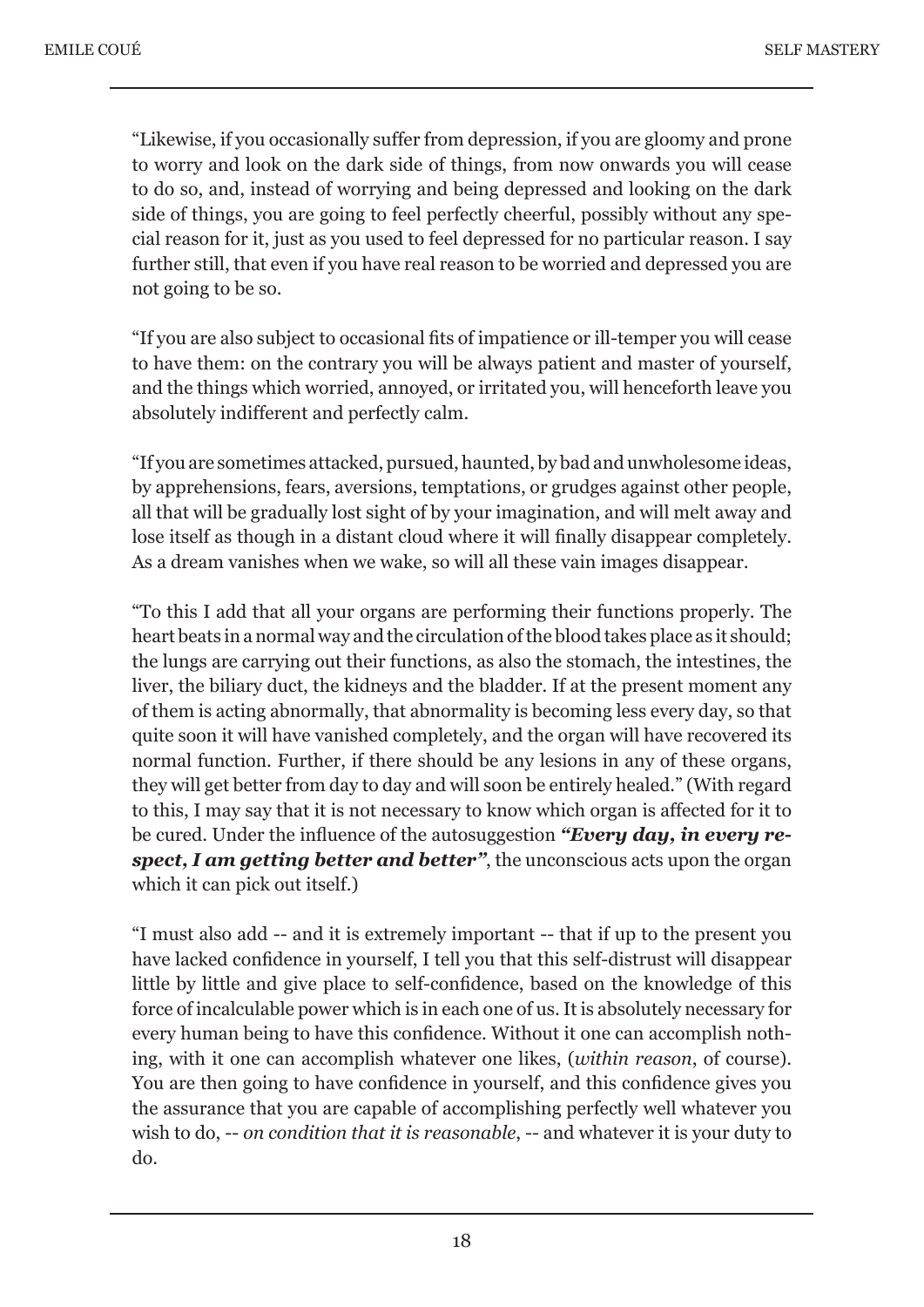"Likewise, if you occasionally suffer from depression, if you are gloomy and prone to worry and look on the dark side of things, from now onwards you will cease to do so, and, instead of worrying and being depressed and looking on the dark side of things, you are going to feel perfectly cheerful, possibly without any special reason for it, just as you used to feel depressed for no particular reason. I say further still, that even if you have real reason to be worried and depressed you are not going to be so.

"If you are also subject to occasional fits of impatience or ill-temper you will cease to have them: on the contrary you will be always patient and master of yourself, and the things which worried, annoyed, or irritated you, will henceforth leave you absolutely indifferent and perfectly calm.

"If you are sometimes attacked, pursued, haunted, by bad and unwholesome ideas, by apprehensions, fears, aversions, temptations, or grudges against other people, all that will be gradually lost sight of by your imagination, and will melt away and lose itself as though in a distant cloud where it will finally disappear completely. As a dream vanishes when we wake, so will all these vain images disappear.

"To this I add that all your organs are performing their functions properly. The heart beats in a normal way and the circulation of the blood takes place as it should; the lungs are carrying out their functions, as also the stomach, the intestines, the liver, the biliary duct, the kidneys and the bladder. If at the present moment any of them is acting abnormally, that abnormality is becoming less every day, so that quite soon it will have vanished completely, and the organ will have recovered its normal function. Further, if there should be any lesions in any of these organs, they will get better from day to day and will soon be entirely healed." (With regard to this, I may say that it is not necessary to know which organ is affected for it to be cured. Under the influence of the autosuggestion *"Every day, in every respect, I am getting better and better"*, the unconscious acts upon the organ which it can pick out itself.)

"I must also add -- and it is extremely important -- that if up to the present you have lacked confidence in yourself, I tell you that this self-distrust will disappear little by little and give place to self-confidence, based on the knowledge of this force of incalculable power which is in each one of us. It is absolutely necessary for every human being to have this confidence. Without it one can accomplish nothing, with it one can accomplish whatever one likes, (*within reason*, of course). You are then going to have confidence in yourself, and this confidence gives you the assurance that you are capable of accomplishing perfectly well whatever you wish to do, -- *on condition that it is reasonable*, -- and whatever it is your duty to do.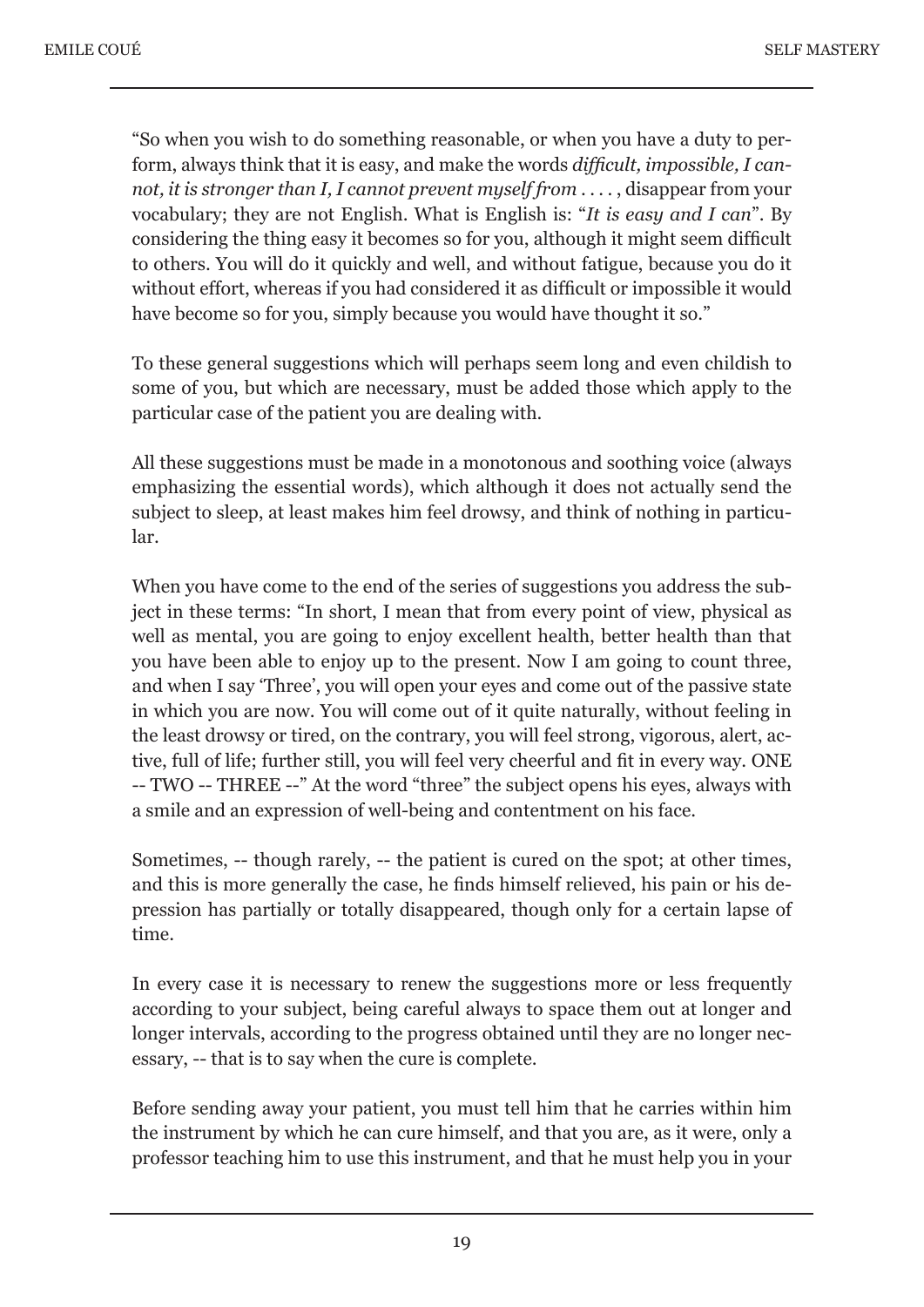"So when you wish to do something reasonable, or when you have a duty to perform, always think that it is easy, and make the words *difficult, impossible, I cannot, it is stronger than I, I cannot prevent myself from* . . . . , disappear from your vocabulary; they are not English. What is English is: "*It is easy and I can*". By considering the thing easy it becomes so for you, although it might seem difficult to others. You will do it quickly and well, and without fatigue, because you do it without effort, whereas if you had considered it as difficult or impossible it would have become so for you, simply because you would have thought it so."

To these general suggestions which will perhaps seem long and even childish to some of you, but which are necessary, must be added those which apply to the particular case of the patient you are dealing with.

All these suggestions must be made in a monotonous and soothing voice (always emphasizing the essential words), which although it does not actually send the subject to sleep, at least makes him feel drowsy, and think of nothing in particular.

When you have come to the end of the series of suggestions you address the subject in these terms: "In short, I mean that from every point of view, physical as well as mental, you are going to enjoy excellent health, better health than that you have been able to enjoy up to the present. Now I am going to count three, and when I say 'Three', you will open your eyes and come out of the passive state in which you are now. You will come out of it quite naturally, without feeling in the least drowsy or tired, on the contrary, you will feel strong, vigorous, alert, active, full of life; further still, you will feel very cheerful and fit in every way. ONE -- TWO -- THREE --" At the word "three" the subject opens his eyes, always with a smile and an expression of well-being and contentment on his face.

Sometimes, -- though rarely, -- the patient is cured on the spot; at other times, and this is more generally the case, he finds himself relieved, his pain or his depression has partially or totally disappeared, though only for a certain lapse of time.

In every case it is necessary to renew the suggestions more or less frequently according to your subject, being careful always to space them out at longer and longer intervals, according to the progress obtained until they are no longer necessary, -- that is to say when the cure is complete.

Before sending away your patient, you must tell him that he carries within him the instrument by which he can cure himself, and that you are, as it were, only a professor teaching him to use this instrument, and that he must help you in your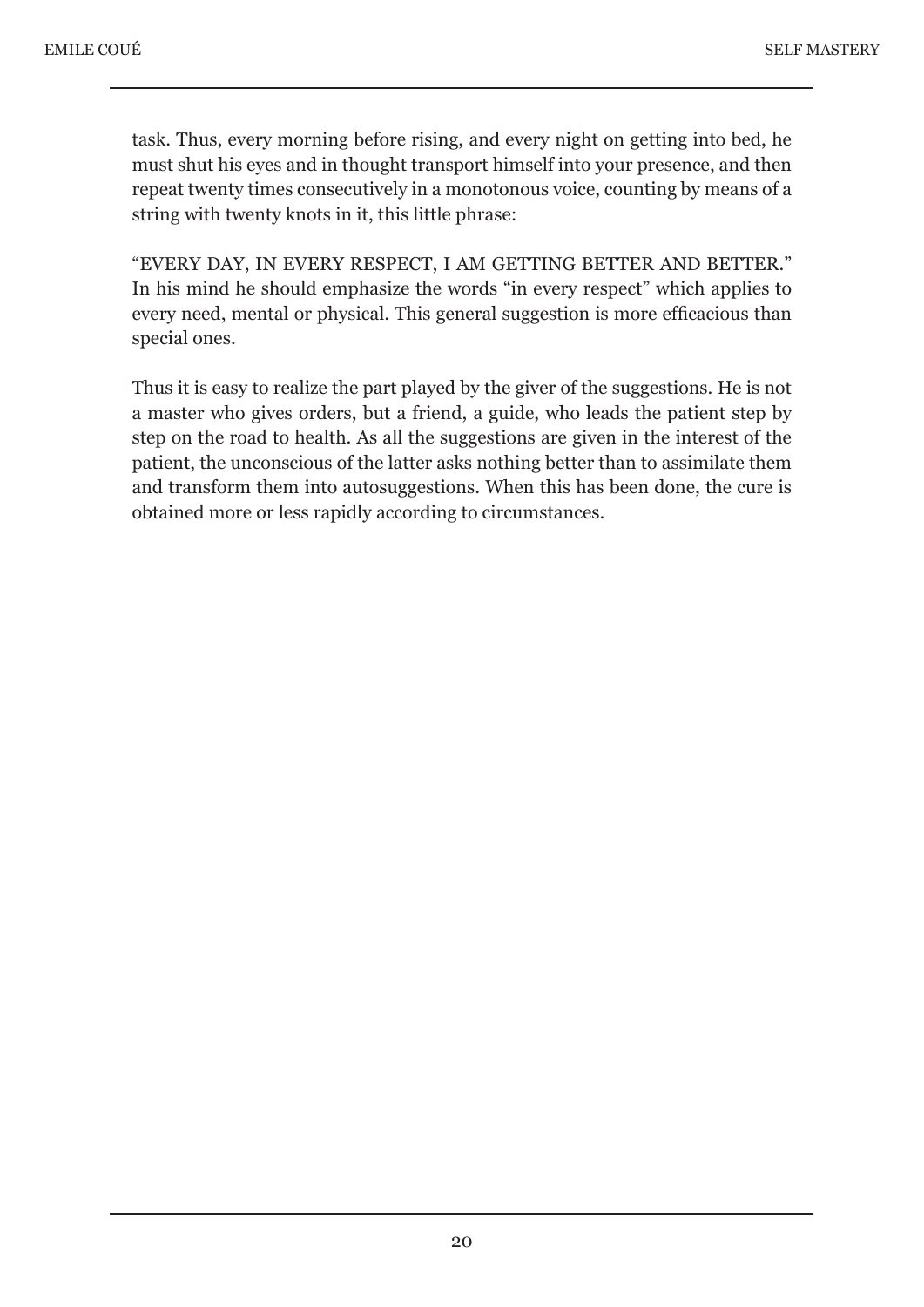task. Thus, every morning before rising, and every night on getting into bed, he must shut his eyes and in thought transport himself into your presence, and then repeat twenty times consecutively in a monotonous voice, counting by means of a string with twenty knots in it, this little phrase:

"EVERY DAY, IN EVERY RESPECT, I AM GETTING BETTER AND BETTER." In his mind he should emphasize the words "in every respect" which applies to every need, mental or physical. This general suggestion is more efficacious than special ones.

Thus it is easy to realize the part played by the giver of the suggestions. He is not a master who gives orders, but a friend, a guide, who leads the patient step by step on the road to health. As all the suggestions are given in the interest of the patient, the unconscious of the latter asks nothing better than to assimilate them and transform them into autosuggestions. When this has been done, the cure is obtained more or less rapidly according to circumstances.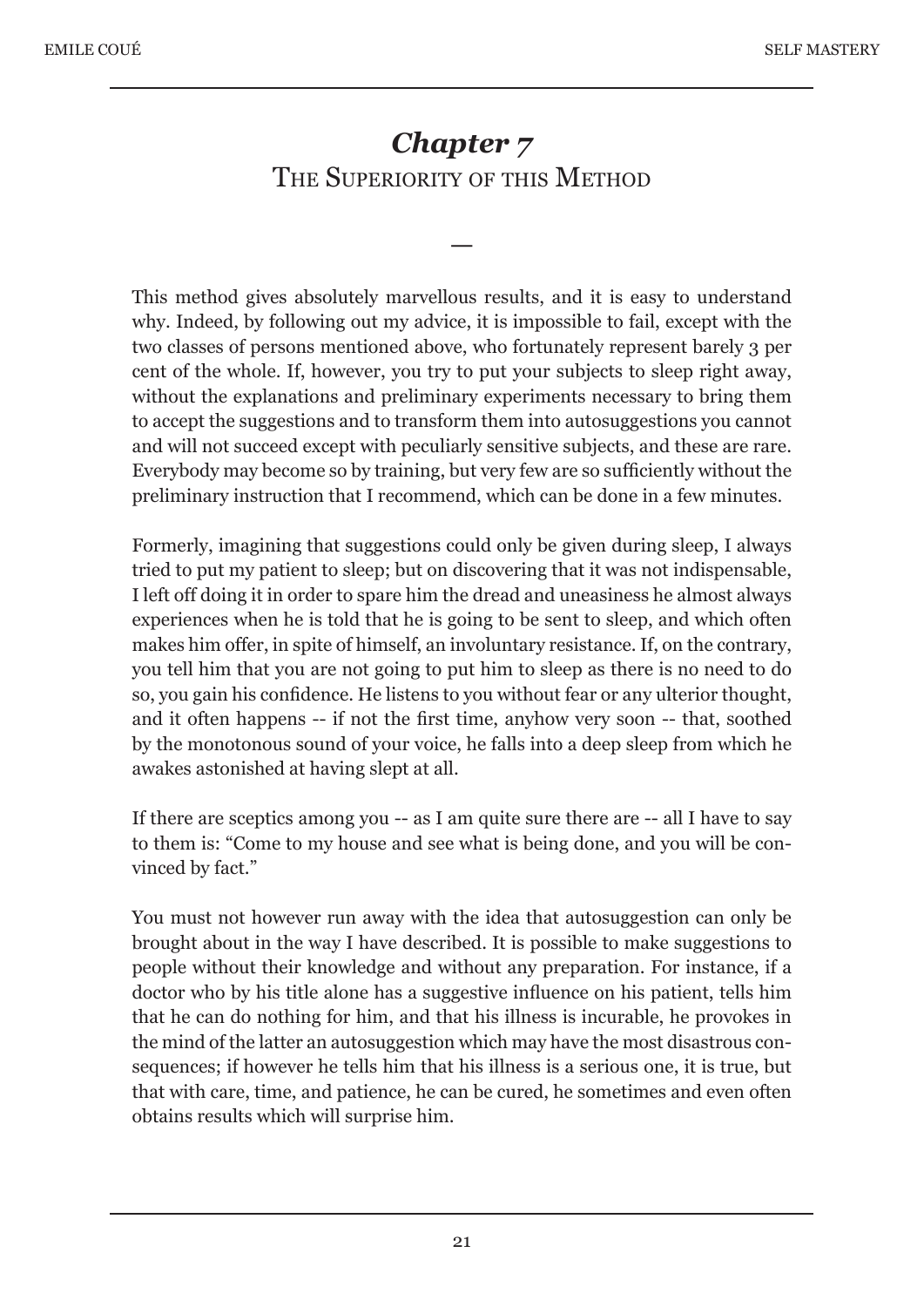## *Chapter 7* THE SUPERIORITY OF THIS METHOD

—

This method gives absolutely marvellous results, and it is easy to understand why. Indeed, by following out my advice, it is impossible to fail, except with the two classes of persons mentioned above, who fortunately represent barely 3 per cent of the whole. If, however, you try to put your subjects to sleep right away, without the explanations and preliminary experiments necessary to bring them to accept the suggestions and to transform them into autosuggestions you cannot and will not succeed except with peculiarly sensitive subjects, and these are rare. Everybody may become so by training, but very few are so sufficiently without the preliminary instruction that I recommend, which can be done in a few minutes.

Formerly, imagining that suggestions could only be given during sleep, I always tried to put my patient to sleep; but on discovering that it was not indispensable, I left off doing it in order to spare him the dread and uneasiness he almost always experiences when he is told that he is going to be sent to sleep, and which often makes him offer, in spite of himself, an involuntary resistance. If, on the contrary, you tell him that you are not going to put him to sleep as there is no need to do so, you gain his confidence. He listens to you without fear or any ulterior thought, and it often happens -- if not the first time, anyhow very soon -- that, soothed by the monotonous sound of your voice, he falls into a deep sleep from which he awakes astonished at having slept at all.

If there are sceptics among you -- as I am quite sure there are -- all I have to say to them is: "Come to my house and see what is being done, and you will be convinced by fact."

You must not however run away with the idea that autosuggestion can only be brought about in the way I have described. It is possible to make suggestions to people without their knowledge and without any preparation. For instance, if a doctor who by his title alone has a suggestive influence on his patient, tells him that he can do nothing for him, and that his illness is incurable, he provokes in the mind of the latter an autosuggestion which may have the most disastrous consequences; if however he tells him that his illness is a serious one, it is true, but that with care, time, and patience, he can be cured, he sometimes and even often obtains results which will surprise him.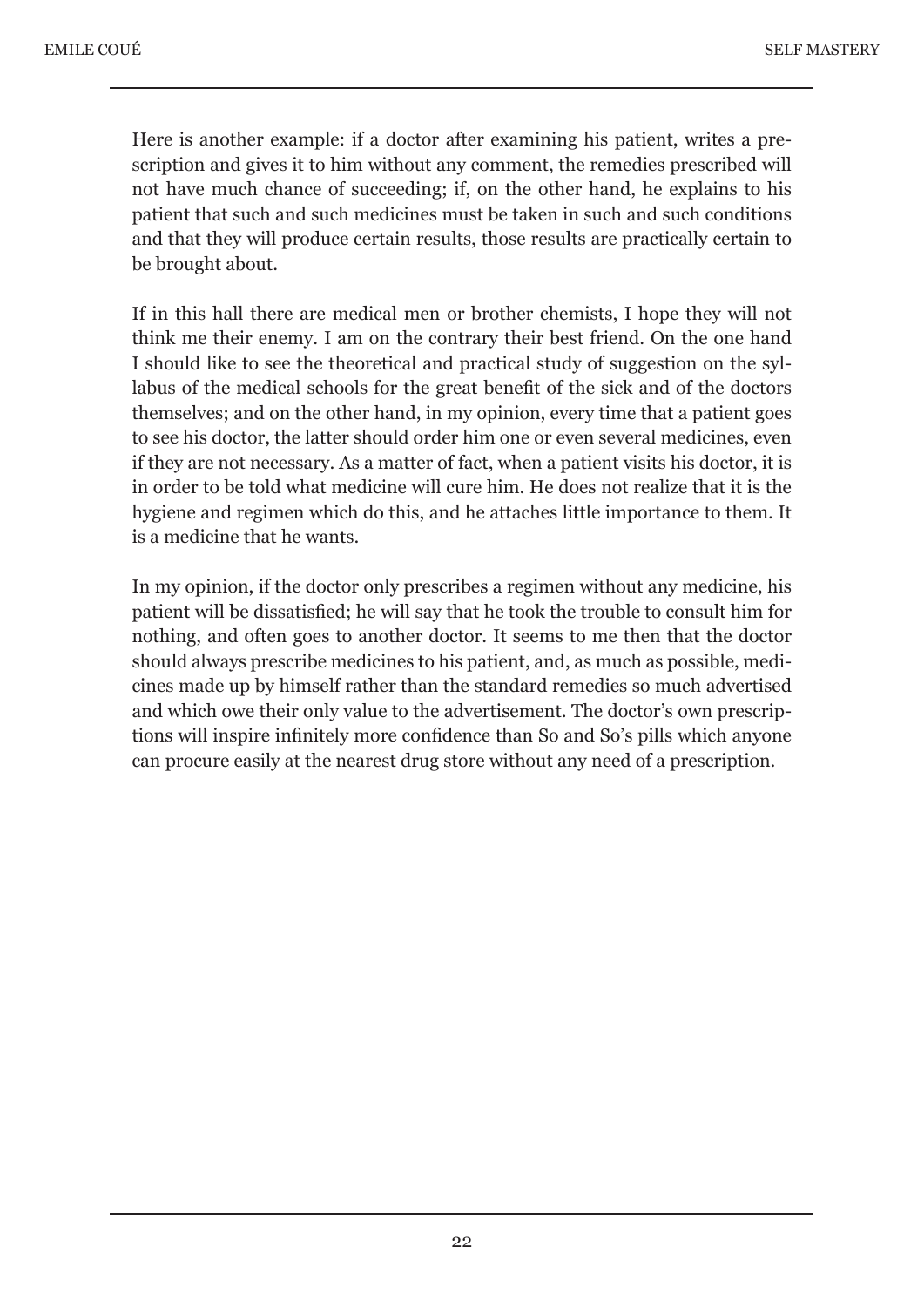Here is another example: if a doctor after examining his patient, writes a prescription and gives it to him without any comment, the remedies prescribed will not have much chance of succeeding; if, on the other hand, he explains to his patient that such and such medicines must be taken in such and such conditions and that they will produce certain results, those results are practically certain to be brought about.

If in this hall there are medical men or brother chemists, I hope they will not think me their enemy. I am on the contrary their best friend. On the one hand I should like to see the theoretical and practical study of suggestion on the syllabus of the medical schools for the great benefit of the sick and of the doctors themselves; and on the other hand, in my opinion, every time that a patient goes to see his doctor, the latter should order him one or even several medicines, even if they are not necessary. As a matter of fact, when a patient visits his doctor, it is in order to be told what medicine will cure him. He does not realize that it is the hygiene and regimen which do this, and he attaches little importance to them. It is a medicine that he wants.

In my opinion, if the doctor only prescribes a regimen without any medicine, his patient will be dissatisfied; he will say that he took the trouble to consult him for nothing, and often goes to another doctor. It seems to me then that the doctor should always prescribe medicines to his patient, and, as much as possible, medicines made up by himself rather than the standard remedies so much advertised and which owe their only value to the advertisement. The doctor's own prescriptions will inspire infinitely more confidence than So and So's pills which anyone can procure easily at the nearest drug store without any need of a prescription.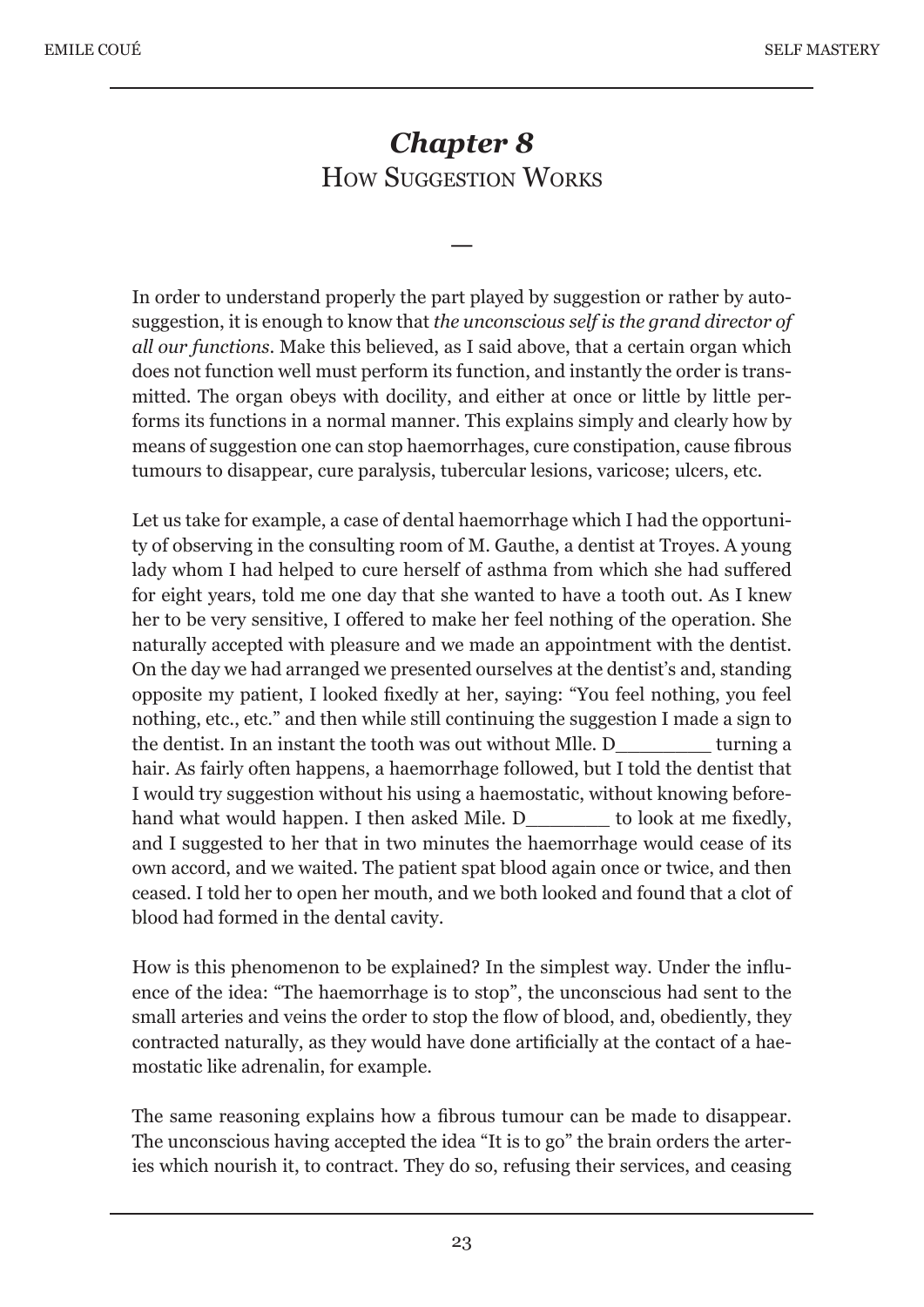# *Chapter 8* HOW SUGGESTION WORKS

—

In order to understand properly the part played by suggestion or rather by autosuggestion, it is enough to know that *the unconscious self is the grand director of all our functions*. Make this believed, as I said above, that a certain organ which does not function well must perform its function, and instantly the order is transmitted. The organ obeys with docility, and either at once or little by little performs its functions in a normal manner. This explains simply and clearly how by means of suggestion one can stop haemorrhages, cure constipation, cause fibrous tumours to disappear, cure paralysis, tubercular lesions, varicose; ulcers, etc.

Let us take for example, a case of dental haemorrhage which I had the opportunity of observing in the consulting room of M. Gauthe, a dentist at Troyes. A young lady whom I had helped to cure herself of asthma from which she had suffered for eight years, told me one day that she wanted to have a tooth out. As I knew her to be very sensitive, I offered to make her feel nothing of the operation. She naturally accepted with pleasure and we made an appointment with the dentist. On the day we had arranged we presented ourselves at the dentist's and, standing opposite my patient, I looked fixedly at her, saying: "You feel nothing, you feel nothing, etc., etc." and then while still continuing the suggestion I made a sign to the dentist. In an instant the tooth was out without Mlle. D\_\_\_\_\_\_\_\_ turning a hair. As fairly often happens, a haemorrhage followed, but I told the dentist that I would try suggestion without his using a haemostatic, without knowing beforehand what would happen. I then asked Mile. D to look at me fixedly, and I suggested to her that in two minutes the haemorrhage would cease of its own accord, and we waited. The patient spat blood again once or twice, and then ceased. I told her to open her mouth, and we both looked and found that a clot of blood had formed in the dental cavity.

How is this phenomenon to be explained? In the simplest way. Under the influence of the idea: "The haemorrhage is to stop", the unconscious had sent to the small arteries and veins the order to stop the flow of blood, and, obediently, they contracted naturally, as they would have done artificially at the contact of a haemostatic like adrenalin, for example.

The same reasoning explains how a fibrous tumour can be made to disappear. The unconscious having accepted the idea "It is to go" the brain orders the arteries which nourish it, to contract. They do so, refusing their services, and ceasing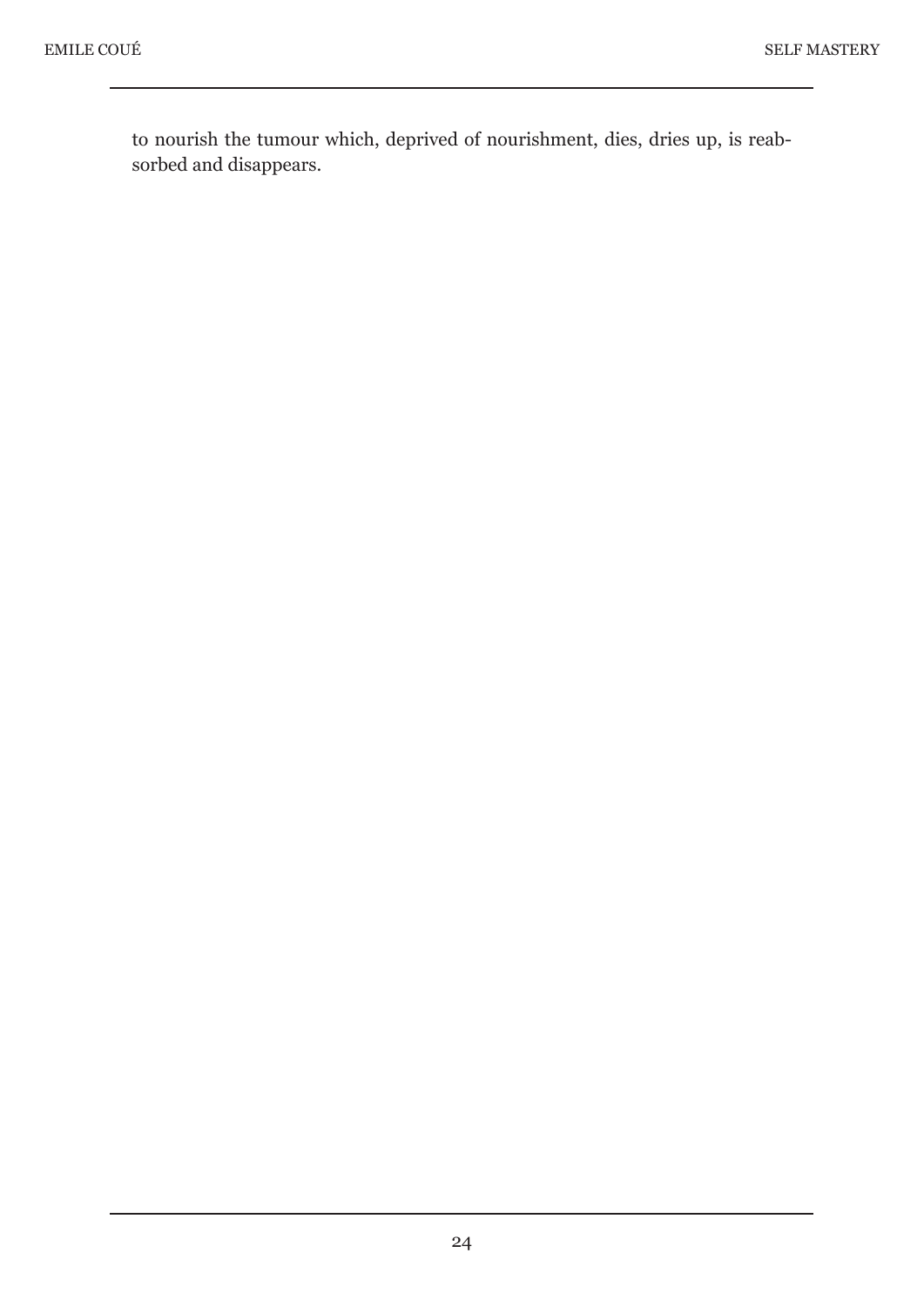to nourish the tumour which, deprived of nourishment, dies, dries up, is reabsorbed and disappears.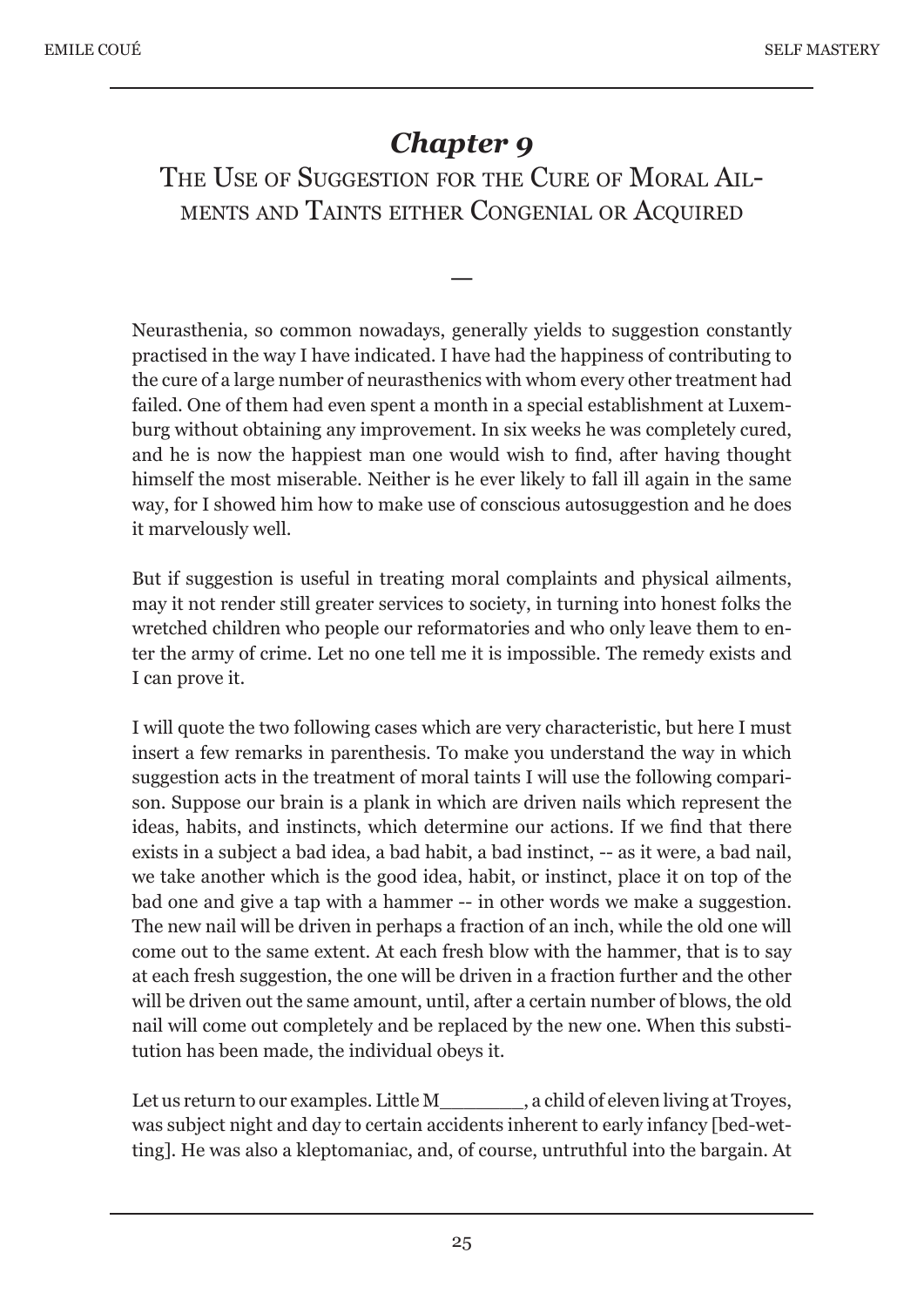# *Chapter 9*

THE USE OF SUGGESTION FOR THE CURE OF MORAL AIL-MENTS AND TAINTS EITHER CONGENIAL OR ACOUIRED

—

Neurasthenia, so common nowadays, generally yields to suggestion constantly practised in the way I have indicated. I have had the happiness of contributing to the cure of a large number of neurasthenics with whom every other treatment had failed. One of them had even spent a month in a special establishment at Luxemburg without obtaining any improvement. In six weeks he was completely cured, and he is now the happiest man one would wish to find, after having thought himself the most miserable. Neither is he ever likely to fall ill again in the same way, for I showed him how to make use of conscious autosuggestion and he does it marvelously well.

But if suggestion is useful in treating moral complaints and physical ailments, may it not render still greater services to society, in turning into honest folks the wretched children who people our reformatories and who only leave them to enter the army of crime. Let no one tell me it is impossible. The remedy exists and I can prove it.

I will quote the two following cases which are very characteristic, but here I must insert a few remarks in parenthesis. To make you understand the way in which suggestion acts in the treatment of moral taints I will use the following comparison. Suppose our brain is a plank in which are driven nails which represent the ideas, habits, and instincts, which determine our actions. If we find that there exists in a subject a bad idea, a bad habit, a bad instinct, -- as it were, a bad nail, we take another which is the good idea, habit, or instinct, place it on top of the bad one and give a tap with a hammer -- in other words we make a suggestion. The new nail will be driven in perhaps a fraction of an inch, while the old one will come out to the same extent. At each fresh blow with the hammer, that is to say at each fresh suggestion, the one will be driven in a fraction further and the other will be driven out the same amount, until, after a certain number of blows, the old nail will come out completely and be replaced by the new one. When this substitution has been made, the individual obeys it.

Let us return to our examples. Little M\_\_\_\_\_\_\_\_, a child of eleven living at Troyes, was subject night and day to certain accidents inherent to early infancy [bed-wetting]. He was also a kleptomaniac, and, of course, untruthful into the bargain. At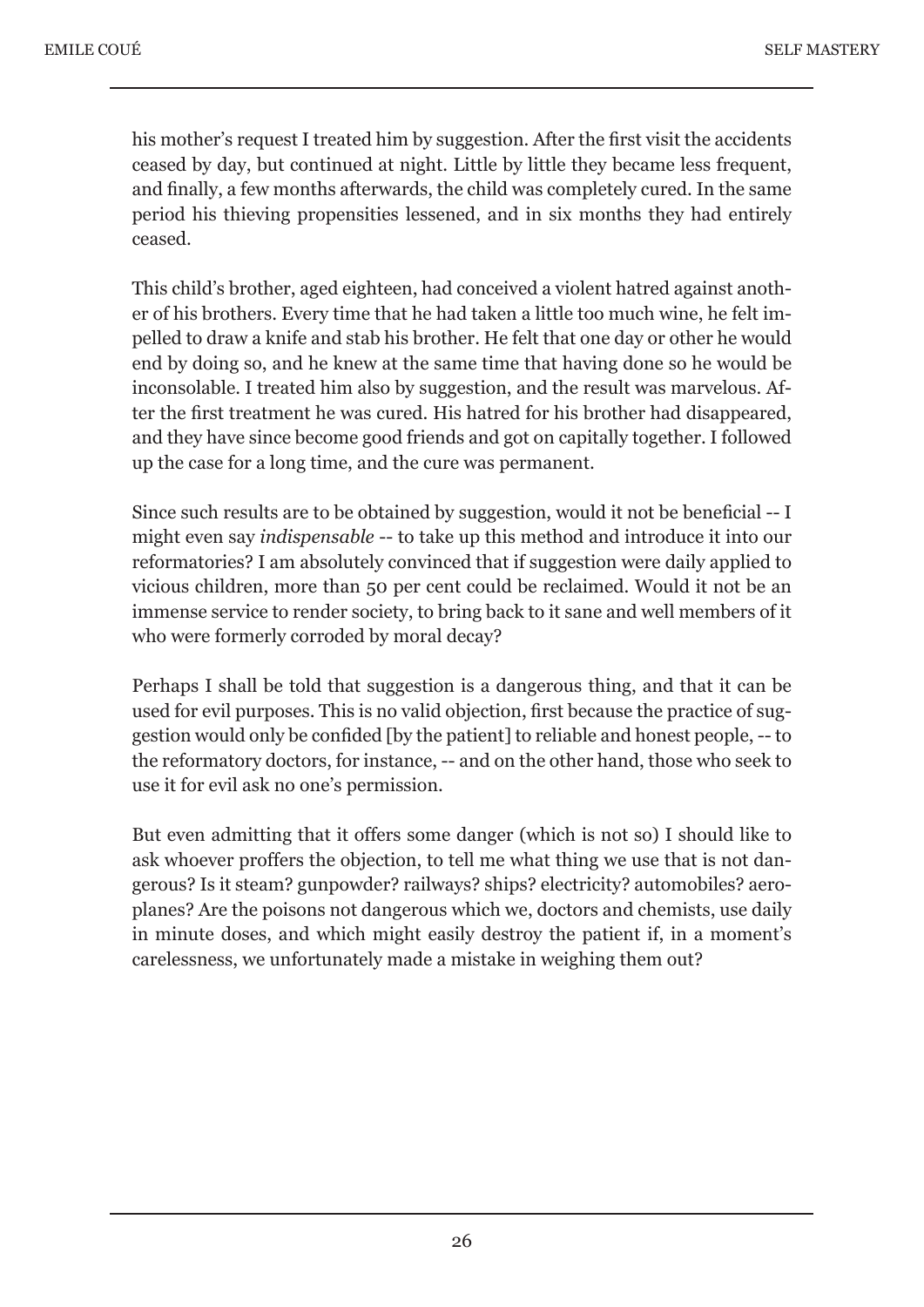his mother's request I treated him by suggestion. After the first visit the accidents ceased by day, but continued at night. Little by little they became less frequent, and finally, a few months afterwards, the child was completely cured. In the same period his thieving propensities lessened, and in six months they had entirely ceased.

This child's brother, aged eighteen, had conceived a violent hatred against another of his brothers. Every time that he had taken a little too much wine, he felt impelled to draw a knife and stab his brother. He felt that one day or other he would end by doing so, and he knew at the same time that having done so he would be inconsolable. I treated him also by suggestion, and the result was marvelous. After the first treatment he was cured. His hatred for his brother had disappeared, and they have since become good friends and got on capitally together. I followed up the case for a long time, and the cure was permanent.

Since such results are to be obtained by suggestion, would it not be beneficial -- I might even say *indispensable* -- to take up this method and introduce it into our reformatories? I am absolutely convinced that if suggestion were daily applied to vicious children, more than 50 per cent could be reclaimed. Would it not be an immense service to render society, to bring back to it sane and well members of it who were formerly corroded by moral decay?

Perhaps I shall be told that suggestion is a dangerous thing, and that it can be used for evil purposes. This is no valid objection, first because the practice of suggestion would only be confided [by the patient] to reliable and honest people, -- to the reformatory doctors, for instance, -- and on the other hand, those who seek to use it for evil ask no one's permission.

But even admitting that it offers some danger (which is not so) I should like to ask whoever proffers the objection, to tell me what thing we use that is not dangerous? Is it steam? gunpowder? railways? ships? electricity? automobiles? aeroplanes? Are the poisons not dangerous which we, doctors and chemists, use daily in minute doses, and which might easily destroy the patient if, in a moment's carelessness, we unfortunately made a mistake in weighing them out?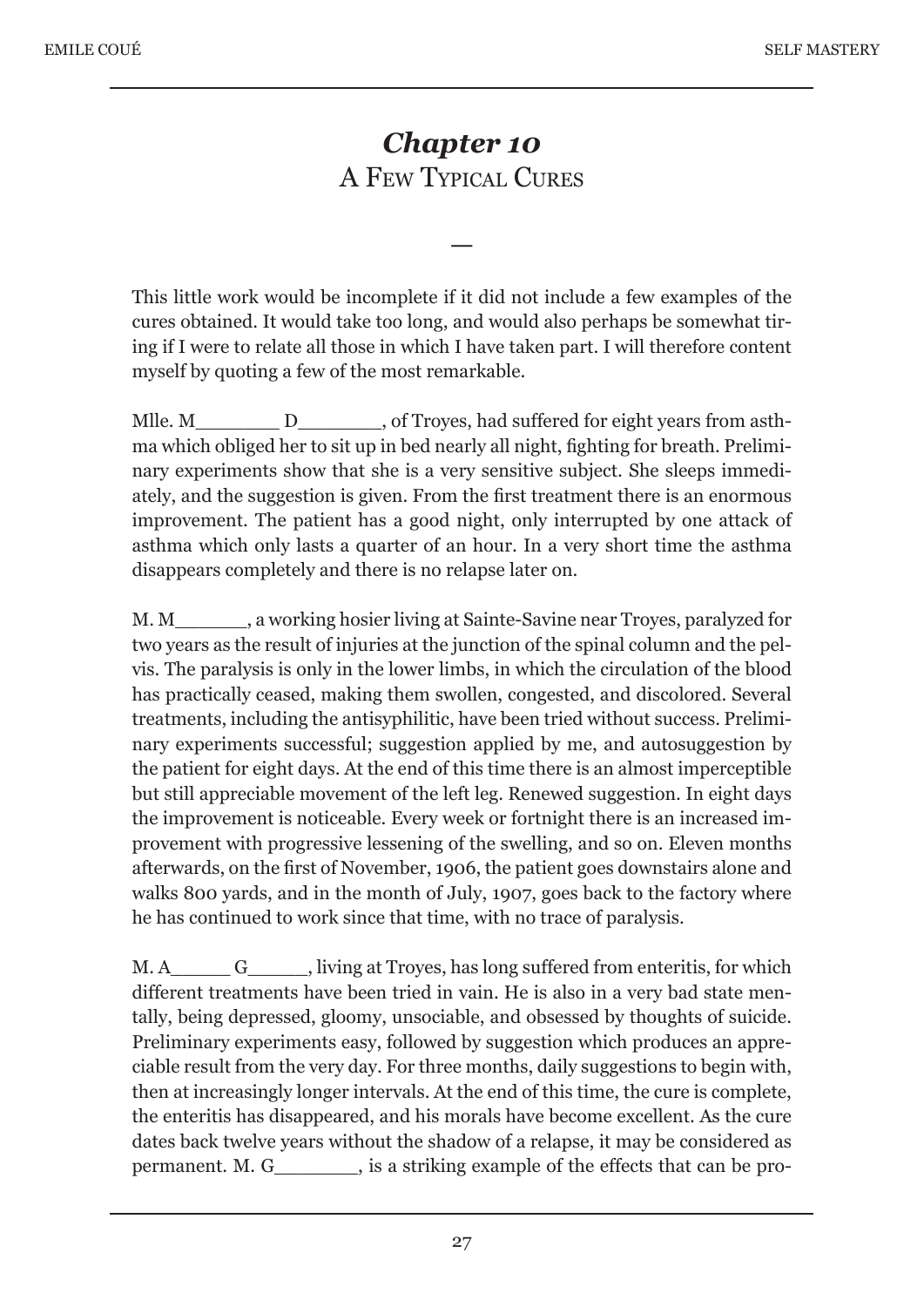# *Chapter 10* A FEW TYPICAL CURES

—

This little work would be incomplete if it did not include a few examples of the cures obtained. It would take too long, and would also perhaps be somewhat tiring if I were to relate all those in which I have taken part. I will therefore content myself by quoting a few of the most remarkable.

Mlle. M\_\_\_\_\_\_\_\_ D\_\_\_\_\_\_\_, of Troyes, had suffered for eight years from asthma which obliged her to sit up in bed nearly all night, fighting for breath. Preliminary experiments show that she is a very sensitive subject. She sleeps immediately, and the suggestion is given. From the first treatment there is an enormous improvement. The patient has a good night, only interrupted by one attack of asthma which only lasts a quarter of an hour. In a very short time the asthma disappears completely and there is no relapse later on.

M. M\_\_\_\_\_\_\_, a working hosier living at Sainte-Savine near Troyes, paralyzed for two years as the result of injuries at the junction of the spinal column and the pelvis. The paralysis is only in the lower limbs, in which the circulation of the blood has practically ceased, making them swollen, congested, and discolored. Several treatments, including the antisyphilitic, have been tried without success. Preliminary experiments successful; suggestion applied by me, and autosuggestion by the patient for eight days. At the end of this time there is an almost imperceptible but still appreciable movement of the left leg. Renewed suggestion. In eight days the improvement is noticeable. Every week or fortnight there is an increased improvement with progressive lessening of the swelling, and so on. Eleven months afterwards, on the first of November, 1906, the patient goes downstairs alone and walks 800 yards, and in the month of July, 1907, goes back to the factory where he has continued to work since that time, with no trace of paralysis.

M. A\_\_\_\_\_\_ G\_\_\_\_\_, living at Troyes, has long suffered from enteritis, for which different treatments have been tried in vain. He is also in a very bad state mentally, being depressed, gloomy, unsociable, and obsessed by thoughts of suicide. Preliminary experiments easy, followed by suggestion which produces an appreciable result from the very day. For three months, daily suggestions to begin with, then at increasingly longer intervals. At the end of this time, the cure is complete, the enteritis has disappeared, and his morals have become excellent. As the cure dates back twelve years without the shadow of a relapse, it may be considered as permanent. M. G\_\_\_\_\_\_\_, is a striking example of the effects that can be pro-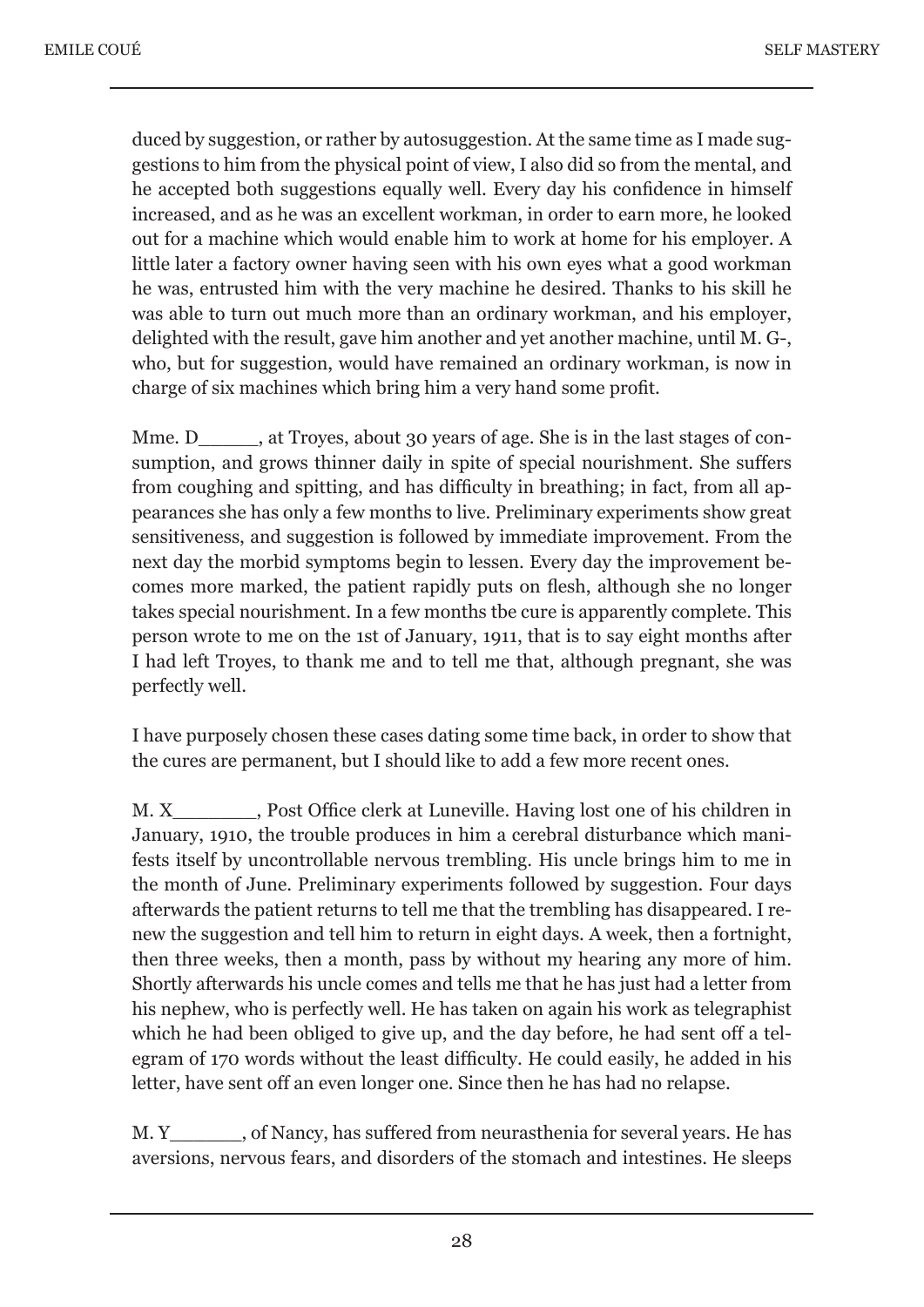duced by suggestion, or rather by autosuggestion. At the same time as I made suggestions to him from the physical point of view, I also did so from the mental, and he accepted both suggestions equally well. Every day his confidence in himself increased, and as he was an excellent workman, in order to earn more, he looked out for a machine which would enable him to work at home for his employer. A little later a factory owner having seen with his own eyes what a good workman he was, entrusted him with the very machine he desired. Thanks to his skill he was able to turn out much more than an ordinary workman, and his employer, delighted with the result, gave him another and yet another machine, until M. G-, who, but for suggestion, would have remained an ordinary workman, is now in charge of six machines which bring him a very hand some profit.

Mme. D\_\_\_\_\_, at Troyes, about 30 years of age. She is in the last stages of consumption, and grows thinner daily in spite of special nourishment. She suffers from coughing and spitting, and has difficulty in breathing; in fact, from all appearances she has only a few months to live. Preliminary experiments show great sensitiveness, and suggestion is followed by immediate improvement. From the next day the morbid symptoms begin to lessen. Every day the improvement becomes more marked, the patient rapidly puts on flesh, although she no longer takes special nourishment. In a few months tbe cure is apparently complete. This person wrote to me on the 1st of January, 1911, that is to say eight months after I had left Troyes, to thank me and to tell me that, although pregnant, she was perfectly well.

I have purposely chosen these cases dating some time back, in order to show that the cures are permanent, but I should like to add a few more recent ones.

M. X Fost Office clerk at Luneville. Having lost one of his children in January, 1910, the trouble produces in him a cerebral disturbance which manifests itself by uncontrollable nervous trembling. His uncle brings him to me in the month of June. Preliminary experiments followed by suggestion. Four days afterwards the patient returns to tell me that the trembling has disappeared. I renew the suggestion and tell him to return in eight days. A week, then a fortnight, then three weeks, then a month, pass by without my hearing any more of him. Shortly afterwards his uncle comes and tells me that he has just had a letter from his nephew, who is perfectly well. He has taken on again his work as telegraphist which he had been obliged to give up, and the day before, he had sent off a telegram of 170 words without the least difficulty. He could easily, he added in his letter, have sent off an even longer one. Since then he has had no relapse.

M. Y\_\_\_\_\_\_, of Nancy, has suffered from neurasthenia for several years. He has aversions, nervous fears, and disorders of the stomach and intestines. He sleeps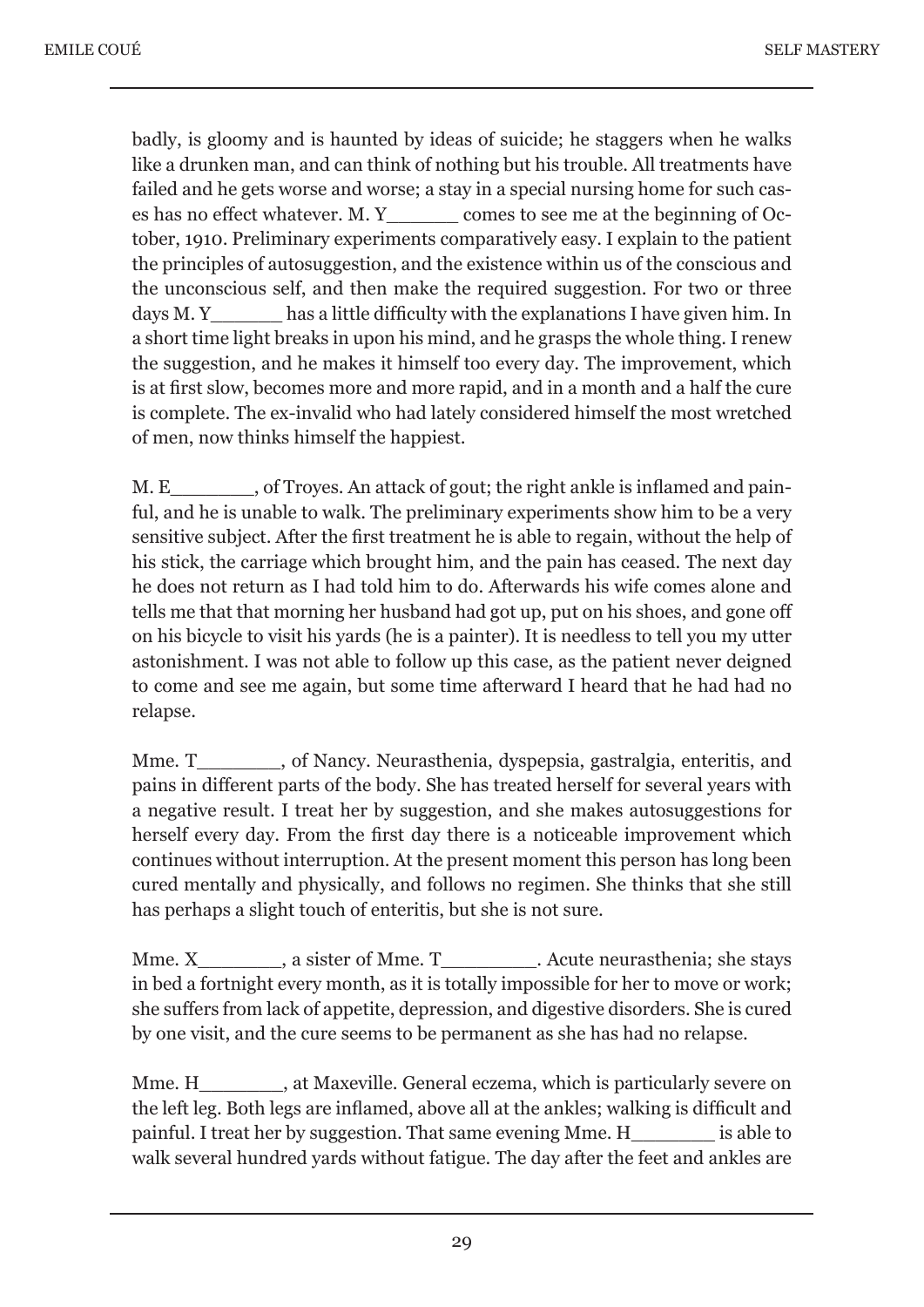badly, is gloomy and is haunted by ideas of suicide; he staggers when he walks like a drunken man, and can think of nothing but his trouble. All treatments have failed and he gets worse and worse; a stay in a special nursing home for such cases has no effect whatever. M. Y\_\_\_\_\_\_ comes to see me at the beginning of October, 1910. Preliminary experiments comparatively easy. I explain to the patient the principles of autosuggestion, and the existence within us of the conscious and the unconscious self, and then make the required suggestion. For two or three days M. Y has a little difficulty with the explanations I have given him. In a short time light breaks in upon his mind, and he grasps the whole thing. I renew the suggestion, and he makes it himself too every day. The improvement, which is at first slow, becomes more and more rapid, and in a month and a half the cure is complete. The ex-invalid who had lately considered himself the most wretched of men, now thinks himself the happiest.

M. E<br>  $\blacksquare$ , of Troyes. An attack of gout; the right ankle is inflamed and painful, and he is unable to walk. The preliminary experiments show him to be a very sensitive subject. After the first treatment he is able to regain, without the help of his stick, the carriage which brought him, and the pain has ceased. The next day he does not return as I had told him to do. Afterwards his wife comes alone and tells me that that morning her husband had got up, put on his shoes, and gone off on his bicycle to visit his yards (he is a painter). It is needless to tell you my utter astonishment. I was not able to follow up this case, as the patient never deigned to come and see me again, but some time afterward I heard that he had had no relapse.

Mme. T\_\_\_\_\_\_\_, of Nancy. Neurasthenia, dyspepsia, gastralgia, enteritis, and pains in different parts of the body. She has treated herself for several years with a negative result. I treat her by suggestion, and she makes autosuggestions for herself every day. From the first day there is a noticeable improvement which continues without interruption. At the present moment this person has long been cured mentally and physically, and follows no regimen. She thinks that she still has perhaps a slight touch of enteritis, but she is not sure.

Mme. X<sub>asister of Mme. T</sub> Acute neurasthenia; she stays in bed a fortnight every month, as it is totally impossible for her to move or work; she suffers from lack of appetite, depression, and digestive disorders. She is cured by one visit, and the cure seems to be permanent as she has had no relapse.

Mme. H\_\_\_\_\_\_\_, at Maxeville. General eczema, which is particularly severe on the left leg. Both legs are inflamed, above all at the ankles; walking is difficult and painful. I treat her by suggestion. That same evening Mme. H\_\_\_\_\_\_\_ is able to walk several hundred yards without fatigue. The day after the feet and ankles are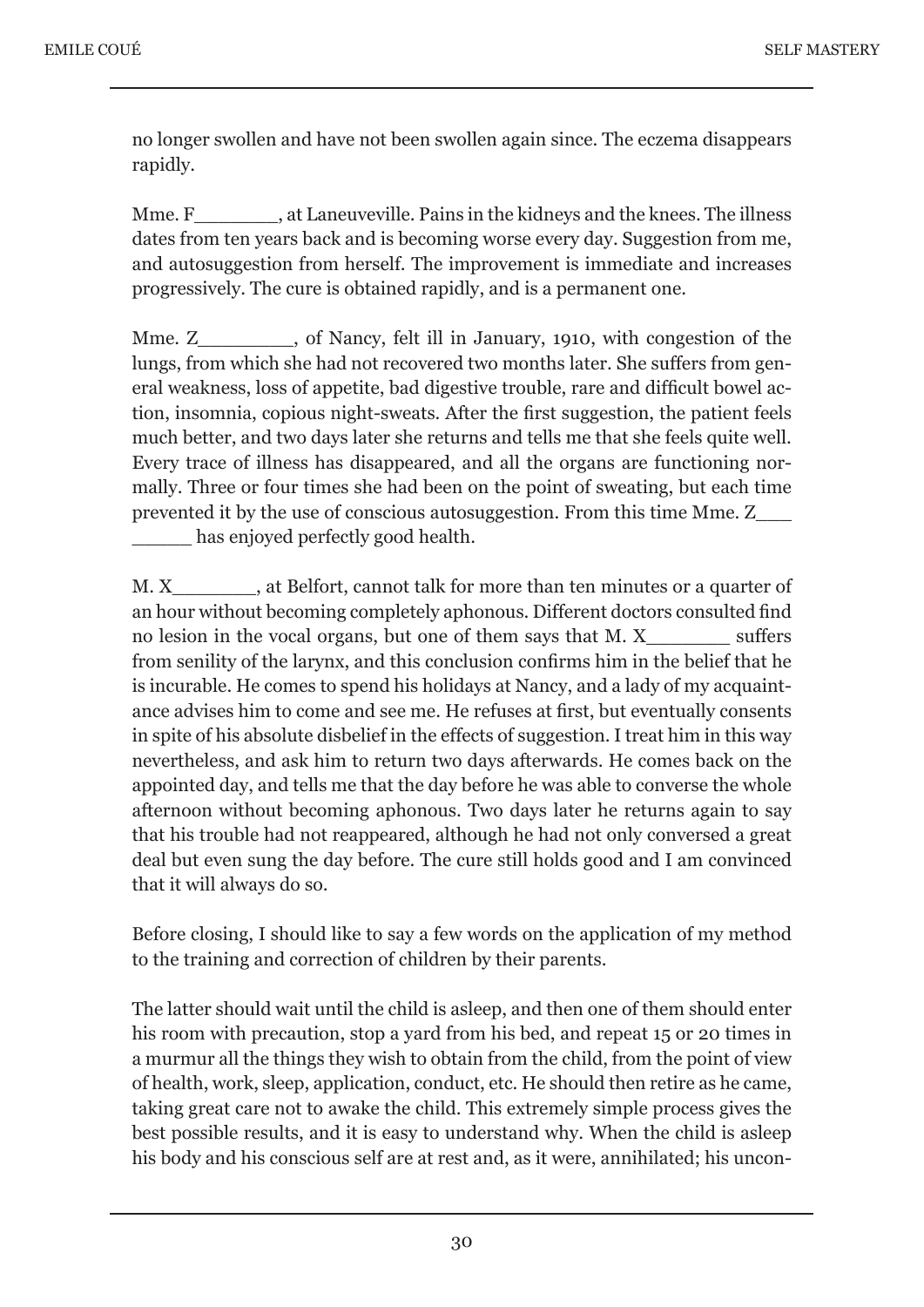no longer swollen and have not been swollen again since. The eczema disappears rapidly.

Mme. F\_\_\_\_\_\_\_, at Laneuveville. Pains in the kidneys and the knees. The illness dates from ten years back and is becoming worse every day. Suggestion from me, and autosuggestion from herself. The improvement is immediate and increases progressively. The cure is obtained rapidly, and is a permanent one.

Mme. Z<sub>\_\_\_\_\_\_</sub>, of Nancy, felt ill in January, 1910, with congestion of the lungs, from which she had not recovered two months later. She suffers from general weakness, loss of appetite, bad digestive trouble, rare and difficult bowel action, insomnia, copious night-sweats. After the first suggestion, the patient feels much better, and two days later she returns and tells me that she feels quite well. Every trace of illness has disappeared, and all the organs are functioning normally. Three or four times she had been on the point of sweating, but each time prevented it by the use of conscious autosuggestion. From this time Mme. Z\_\_\_ has enjoyed perfectly good health.

M. X\_\_\_\_\_\_\_, at Belfort, cannot talk for more than ten minutes or a quarter of an hour without becoming completely aphonous. Different doctors consulted find no lesion in the vocal organs, but one of them says that M. X\_\_\_\_\_\_\_ suffers from senility of the larynx, and this conclusion confirms him in the belief that he is incurable. He comes to spend his holidays at Nancy, and a lady of my acquaintance advises him to come and see me. He refuses at first, but eventually consents in spite of his absolute disbelief in the effects of suggestion. I treat him in this way nevertheless, and ask him to return two days afterwards. He comes back on the appointed day, and tells me that the day before he was able to converse the whole afternoon without becoming aphonous. Two days later he returns again to say that his trouble had not reappeared, although he had not only conversed a great deal but even sung the day before. The cure still holds good and I am convinced that it will always do so.

Before closing, I should like to say a few words on the application of my method to the training and correction of children by their parents.

The latter should wait until the child is asleep, and then one of them should enter his room with precaution, stop a yard from his bed, and repeat 15 or 20 times in a murmur all the things they wish to obtain from the child, from the point of view of health, work, sleep, application, conduct, etc. He should then retire as he came, taking great care not to awake the child. This extremely simple process gives the best possible results, and it is easy to understand why. When the child is asleep his body and his conscious self are at rest and, as it were, annihilated; his uncon-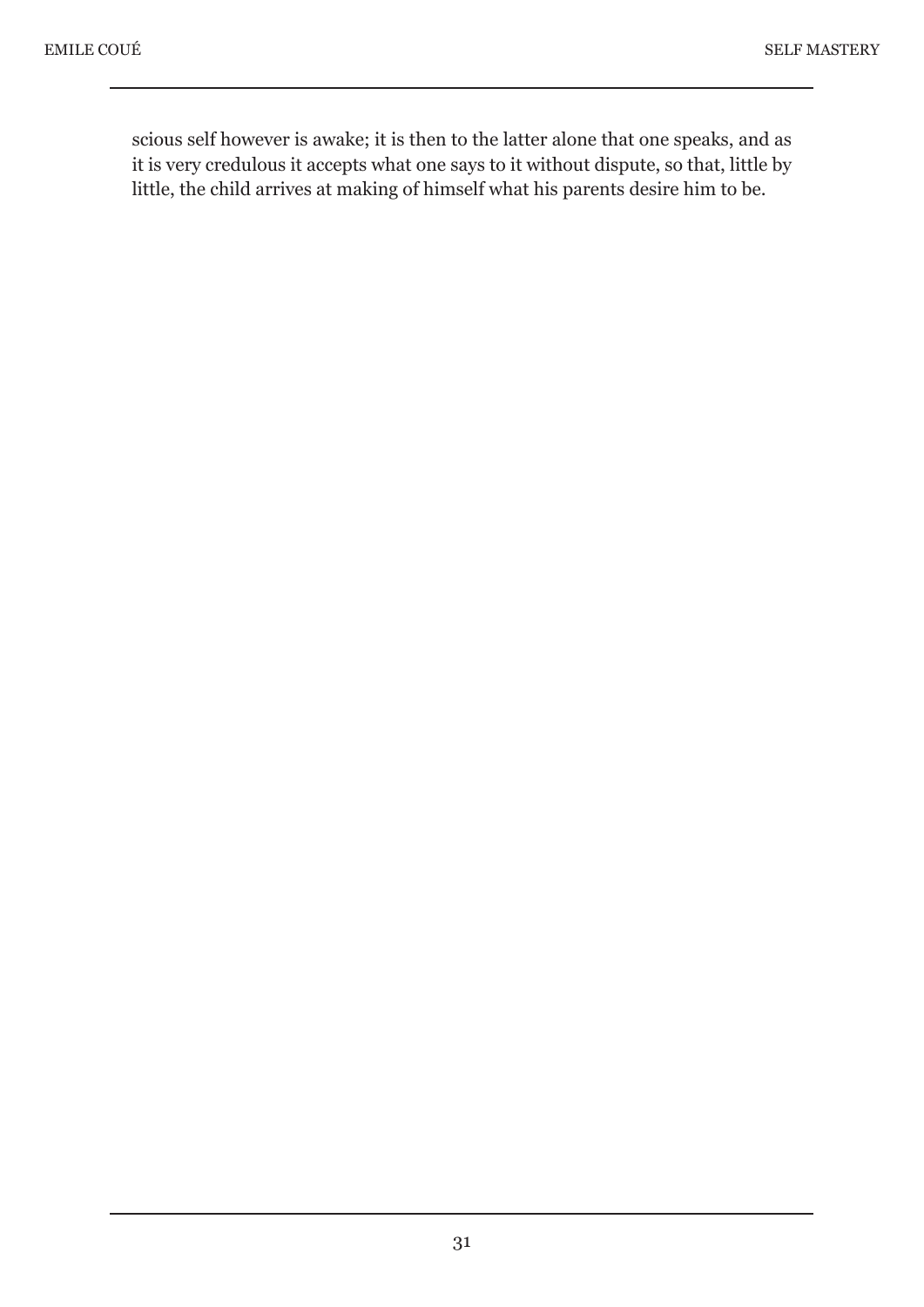scious self however is awake; it is then to the latter alone that one speaks, and as it is very credulous it accepts what one says to it without dispute, so that, little by little, the child arrives at making of himself what his parents desire him to be.